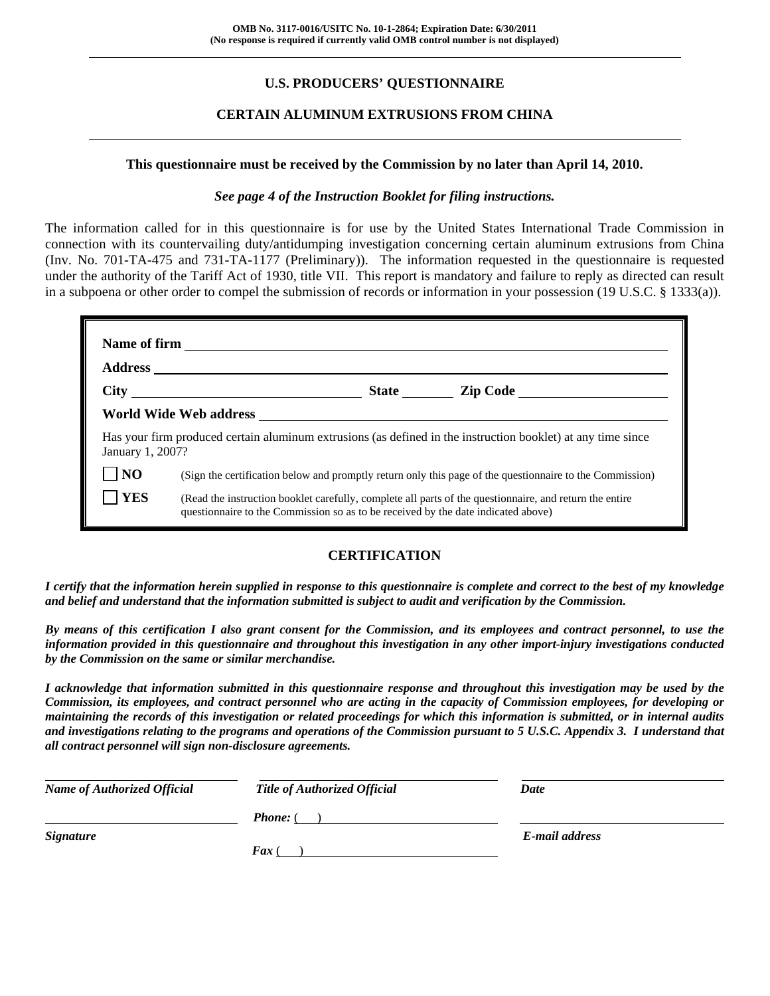## **U.S. PRODUCERS' QUESTIONNAIRE**

### **CERTAIN ALUMINUM EXTRUSIONS FROM CHINA**

#### **This questionnaire must be received by the Commission by no later than April 14, 2010.**

#### *See page 4 of the Instruction Booklet for filing instructions.*

The information called for in this questionnaire is for use by the United States International Trade Commission in connection with its countervailing duty/antidumping investigation concerning certain aluminum extrusions from China (Inv. No. 701-TA-475 and 731-TA-1177 (Preliminary)). The information requested in the questionnaire is requested under the authority of the Tariff Act of 1930, title VII. This report is mandatory and failure to reply as directed can result in a subpoena or other order to compel the submission of records or information in your possession (19 U.S.C. § 1333(a)).

|                  | World Wide Web address <b>with the Contract of the Contract of Contract Contract of Contract Oriental Contract Oriental Contract Oriental Contract Oriental Contract Oriental Contract Oriental Contract Oriental Contract Orien</b> |                                                                                                              |
|------------------|--------------------------------------------------------------------------------------------------------------------------------------------------------------------------------------------------------------------------------------|--------------------------------------------------------------------------------------------------------------|
| January 1, 2007? |                                                                                                                                                                                                                                      | Has your firm produced certain aluminum extrusions (as defined in the instruction booklet) at any time since |
| N <sub>O</sub>   |                                                                                                                                                                                                                                      | (Sign the certification below and promptly return only this page of the questionnaire to the Commission)     |
| <b>YES</b>       | questionnaire to the Commission so as to be received by the date indicated above)                                                                                                                                                    | (Read the instruction booklet carefully, complete all parts of the questionnaire, and return the entire      |

#### **CERTIFICATION**

*I certify that the information herein supplied in response to this questionnaire is complete and correct to the best of my knowledge and belief and understand that the information submitted is subject to audit and verification by the Commission.* 

*By means of this certification I also grant consent for the Commission, and its employees and contract personnel, to use the information provided in this questionnaire and throughout this investigation in any other import-injury investigations conducted by the Commission on the same or similar merchandise.* 

*I acknowledge that information submitted in this questionnaire response and throughout this investigation may be used by the Commission, its employees, and contract personnel who are acting in the capacity of Commission employees, for developing or maintaining the records of this investigation or related proceedings for which this information is submitted, or in internal audits and investigations relating to the programs and operations of the Commission pursuant to 5 U.S.C. Appendix 3. I understand that all contract personnel will sign non-disclosure agreements.* 

| <b>Name of Authorized Official</b> | <b>Title of Authorized Official</b> | Date           |
|------------------------------------|-------------------------------------|----------------|
|                                    | <b>Phone:</b> (                     |                |
| <b>Signature</b>                   |                                     | E-mail address |
|                                    | $\boldsymbol{F}$ ax (               |                |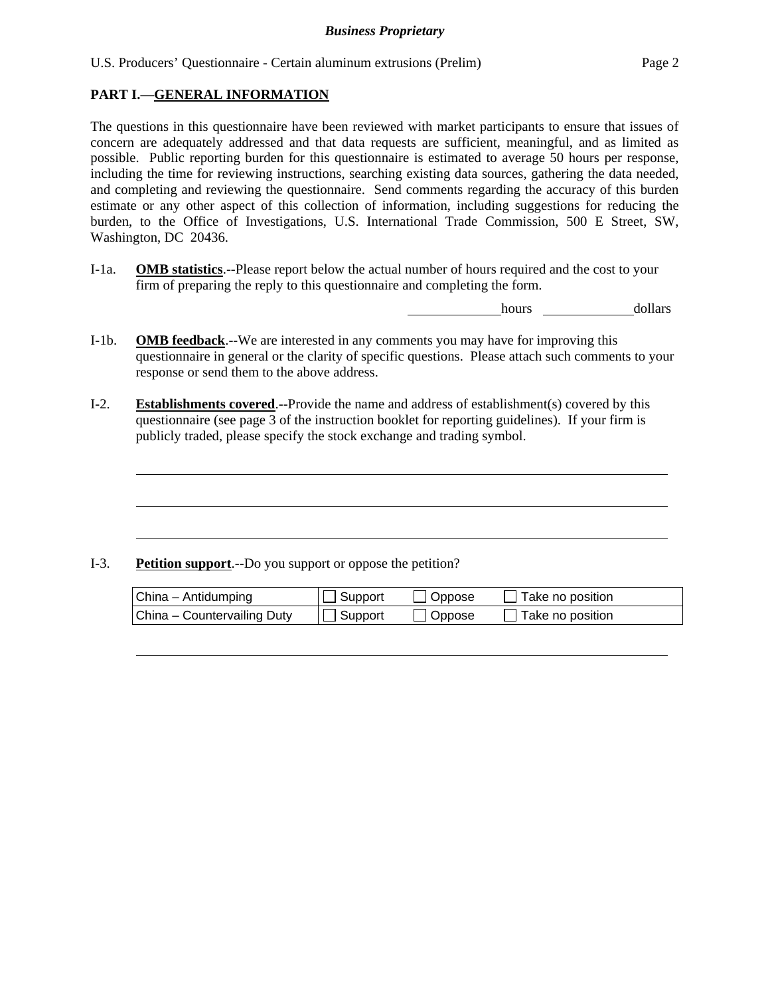#### **PART I.—GENERAL INFORMATION**

l

l

l

 $\overline{a}$ 

The questions in this questionnaire have been reviewed with market participants to ensure that issues of concern are adequately addressed and that data requests are sufficient, meaningful, and as limited as possible. Public reporting burden for this questionnaire is estimated to average 50 hours per response, including the time for reviewing instructions, searching existing data sources, gathering the data needed, and completing and reviewing the questionnaire. Send comments regarding the accuracy of this burden estimate or any other aspect of this collection of information, including suggestions for reducing the burden, to the Office of Investigations, U.S. International Trade Commission, 500 E Street, SW, Washington, DC 20436.

I-1a. **OMB statistics**.--Please report below the actual number of hours required and the cost to your firm of preparing the reply to this questionnaire and completing the form.

hours dollars

- I-1b. **OMB feedback**.--We are interested in any comments you may have for improving this questionnaire in general or the clarity of specific questions. Please attach such comments to your response or send them to the above address.
- I-2. **Establishments covered**.--Provide the name and address of establishment(s) covered by this questionnaire (see page 3 of the instruction booklet for reporting guidelines). If your firm is publicly traded, please specify the stock exchange and trading symbol.

#### I-3. **Petition support**.--Do you support or oppose the petition?

| China - Antidumping         | $\Box$ Support | $\Box$ Oppose | $\Box$ Take no position |
|-----------------------------|----------------|---------------|-------------------------|
| China - Countervailing Duty | $\Box$ Support | $\Box$ Oppose | $\Box$ Take no position |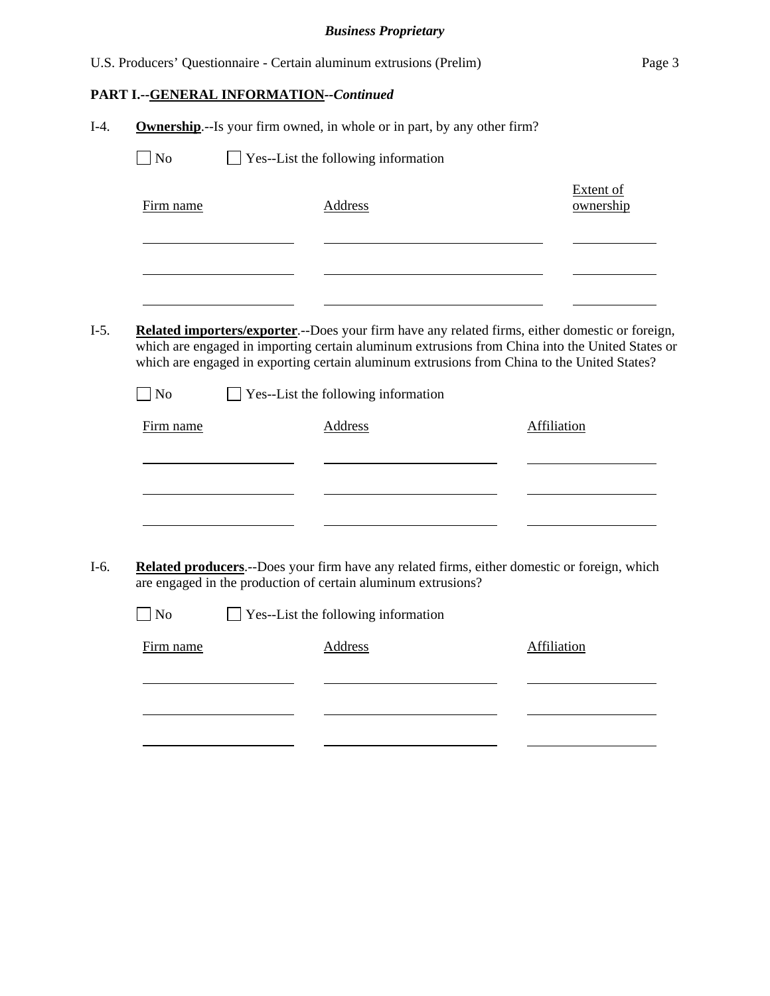|        |                |                                                | U.S. Producers' Questionnaire - Certain aluminum extrusions (Prelim)                                                                                                                                                                                                                                                                                    | Page 3                 |
|--------|----------------|------------------------------------------------|---------------------------------------------------------------------------------------------------------------------------------------------------------------------------------------------------------------------------------------------------------------------------------------------------------------------------------------------------------|------------------------|
|        |                | <b>PART I.--GENERAL INFORMATION--Continued</b> |                                                                                                                                                                                                                                                                                                                                                         |                        |
| $I-4.$ |                |                                                | <b>Ownership.</b> --Is your firm owned, in whole or in part, by any other firm?                                                                                                                                                                                                                                                                         |                        |
|        | No             |                                                | Yes--List the following information                                                                                                                                                                                                                                                                                                                     |                        |
|        | Firm name      |                                                | Address                                                                                                                                                                                                                                                                                                                                                 | Extent of<br>ownership |
| $I-5.$ | $\Box$ No      |                                                | <b>Related importers/exporter.</b> --Does your firm have any related firms, either domestic or foreign,<br>which are engaged in importing certain aluminum extrusions from China into the United States or<br>which are engaged in exporting certain aluminum extrusions from China to the United States?<br>$\Box$ Yes--List the following information |                        |
|        | Firm name      |                                                | <b>Address</b>                                                                                                                                                                                                                                                                                                                                          | <b>Affiliation</b>     |
| $I-6.$ |                |                                                | Related producers.--Does your firm have any related firms, either domestic or foreign, which<br>are engaged in the production of certain aluminum extrusions?                                                                                                                                                                                           |                        |
|        | N <sub>o</sub> |                                                | Yes--List the following information                                                                                                                                                                                                                                                                                                                     |                        |
|        | Firm name      |                                                | Address                                                                                                                                                                                                                                                                                                                                                 | Affiliation            |
|        |                |                                                |                                                                                                                                                                                                                                                                                                                                                         |                        |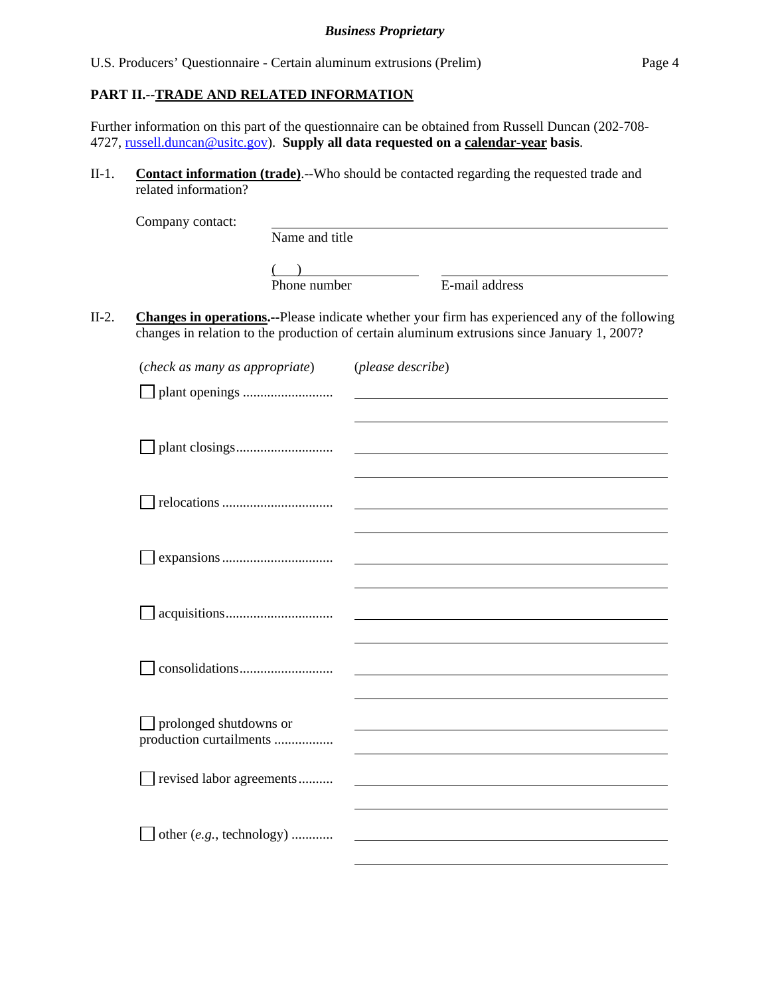#### **PART II.--TRADE AND RELATED INFORMATION**

Further information on this part of the questionnaire can be obtained from Russell Duncan (202-708- 4727, russell.duncan@usitc.gov). **Supply all data requested on a calendar-year basis**.

II-1. **Contact information (trade)**.--Who should be contacted regarding the requested trade and related information?

|         | Company contact:                                  | Name and title |                   |                                                                                                                                                                                                       |
|---------|---------------------------------------------------|----------------|-------------------|-------------------------------------------------------------------------------------------------------------------------------------------------------------------------------------------------------|
|         |                                                   | Phone number   |                   | E-mail address                                                                                                                                                                                        |
| $II-2.$ |                                                   |                |                   | <b>Changes in operations.</b> --Please indicate whether your firm has experienced any of the following<br>changes in relation to the production of certain aluminum extrusions since January 1, 2007? |
|         | (check as many as appropriate)                    |                | (please describe) |                                                                                                                                                                                                       |
|         |                                                   |                |                   |                                                                                                                                                                                                       |
|         |                                                   |                |                   |                                                                                                                                                                                                       |
|         |                                                   |                |                   |                                                                                                                                                                                                       |
|         |                                                   |                |                   |                                                                                                                                                                                                       |
|         |                                                   |                |                   |                                                                                                                                                                                                       |
|         | prolonged shutdowns or<br>production curtailments |                |                   |                                                                                                                                                                                                       |
|         | revised labor agreements                          |                |                   |                                                                                                                                                                                                       |
|         | other (e.g., technology)                          |                |                   |                                                                                                                                                                                                       |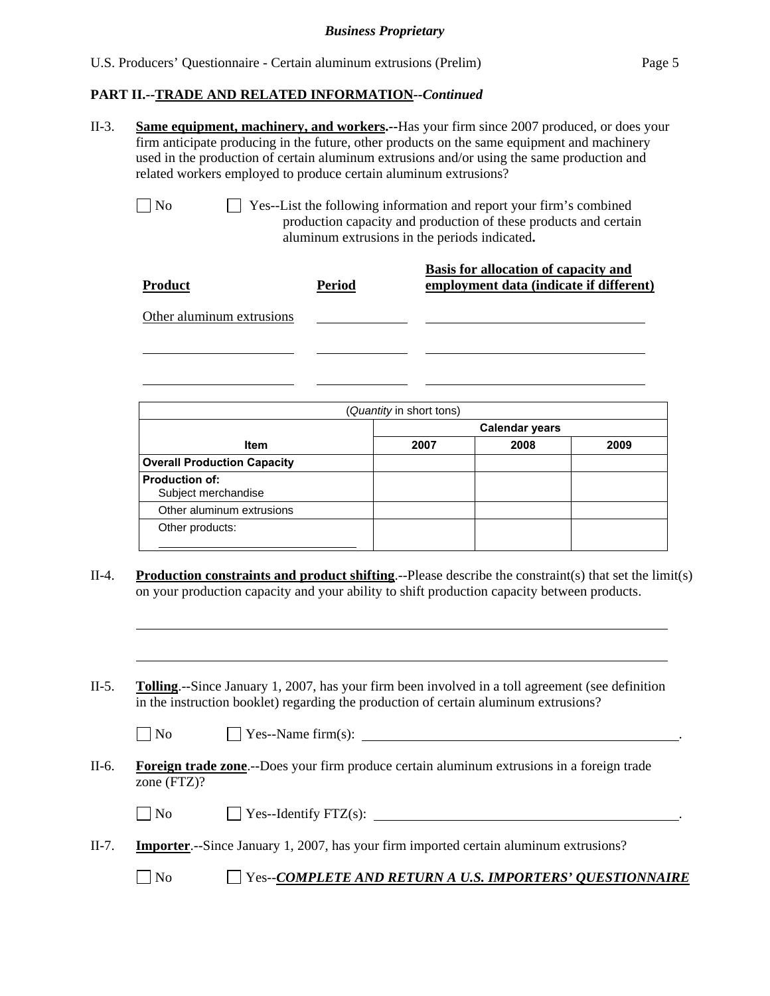## **PART II.--TRADE AND RELATED INFORMATION***--Continued*

|                       | firm anticipate producing in the future, other products on the same equipment and machinery<br>used in the production of certain aluminum extrusions and/or using the same production and<br>related workers employed to produce certain aluminum extrusions?                                                                                                                                                      |                                               |                          |                                                                                                                                         | <b>Same equipment, machinery, and workers.</b> --Has your firm since 2007 produced, or does your |
|-----------------------|--------------------------------------------------------------------------------------------------------------------------------------------------------------------------------------------------------------------------------------------------------------------------------------------------------------------------------------------------------------------------------------------------------------------|-----------------------------------------------|--------------------------|-----------------------------------------------------------------------------------------------------------------------------------------|--------------------------------------------------------------------------------------------------|
| No                    |                                                                                                                                                                                                                                                                                                                                                                                                                    | aluminum extrusions in the periods indicated. |                          | Yes--List the following information and report your firm's combined<br>production capacity and production of these products and certain |                                                                                                  |
| <b>Product</b>        |                                                                                                                                                                                                                                                                                                                                                                                                                    | <b>Period</b>                                 |                          | <b>Basis for allocation of capacity and</b><br>employment data (indicate if different)                                                  |                                                                                                  |
|                       | Other aluminum extrusions                                                                                                                                                                                                                                                                                                                                                                                          |                                               |                          |                                                                                                                                         |                                                                                                  |
|                       |                                                                                                                                                                                                                                                                                                                                                                                                                    |                                               |                          |                                                                                                                                         |                                                                                                  |
|                       |                                                                                                                                                                                                                                                                                                                                                                                                                    |                                               | (Quantity in short tons) |                                                                                                                                         |                                                                                                  |
|                       |                                                                                                                                                                                                                                                                                                                                                                                                                    |                                               |                          | <b>Calendar years</b>                                                                                                                   |                                                                                                  |
|                       | Item<br><b>Overall Production Capacity</b>                                                                                                                                                                                                                                                                                                                                                                         |                                               | 2007                     | 2008                                                                                                                                    | 2009                                                                                             |
| <b>Production of:</b> | Subject merchandise                                                                                                                                                                                                                                                                                                                                                                                                |                                               |                          |                                                                                                                                         |                                                                                                  |
|                       | Other aluminum extrusions                                                                                                                                                                                                                                                                                                                                                                                          |                                               |                          |                                                                                                                                         |                                                                                                  |
|                       |                                                                                                                                                                                                                                                                                                                                                                                                                    |                                               |                          |                                                                                                                                         |                                                                                                  |
|                       | Other products:                                                                                                                                                                                                                                                                                                                                                                                                    |                                               |                          |                                                                                                                                         |                                                                                                  |
|                       | <b>Production constraints and product shifting.</b> --Please describe the constraint(s) that set the $limit(s)$<br>on your production capacity and your ability to shift production capacity between products.<br><b>Tolling.</b> --Since January 1, 2007, has your firm been involved in a toll agreement (see definition<br>in the instruction booklet) regarding the production of certain aluminum extrusions? |                                               |                          |                                                                                                                                         |                                                                                                  |
| N <sub>o</sub>        |                                                                                                                                                                                                                                                                                                                                                                                                                    |                                               |                          |                                                                                                                                         |                                                                                                  |
| zone (FTZ)?           | Foreign trade zone.--Does your firm produce certain aluminum extrusions in a foreign trade                                                                                                                                                                                                                                                                                                                         |                                               |                          |                                                                                                                                         |                                                                                                  |
| $\Box$ No             |                                                                                                                                                                                                                                                                                                                                                                                                                    |                                               |                          | $\Box$ Yes--Identify FTZ(s): $\Box$                                                                                                     |                                                                                                  |
|                       | <b>Importer.</b> --Since January 1, 2007, has your firm imported certain aluminum extrusions?                                                                                                                                                                                                                                                                                                                      |                                               |                          |                                                                                                                                         |                                                                                                  |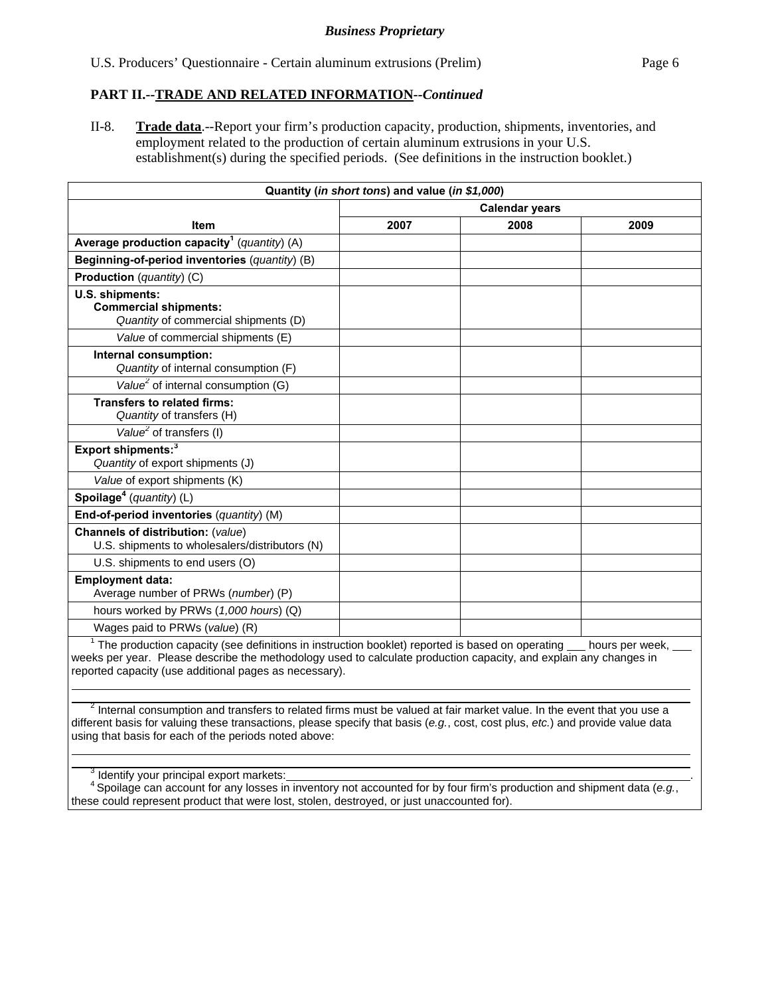#### **PART II.--TRADE AND RELATED INFORMATION***--Continued*

II-8. **Trade data**.--Report your firm's production capacity, production, shipments, inventories, and employment related to the production of certain aluminum extrusions in your U.S. establishment(s) during the specified periods. (See definitions in the instruction booklet.)

| Quantity (in short tons) and value (in \$1,000)                                                     |                       |      |                        |  |  |
|-----------------------------------------------------------------------------------------------------|-----------------------|------|------------------------|--|--|
|                                                                                                     | <b>Calendar years</b> |      |                        |  |  |
| <b>Item</b>                                                                                         | 2007                  | 2008 | 2009                   |  |  |
| Average production capacity <sup>1</sup> ( <i>quantity</i> ) (A)                                    |                       |      |                        |  |  |
| Beginning-of-period inventories (quantity) (B)                                                      |                       |      |                        |  |  |
| <b>Production</b> ( <i>quantity</i> ) (C)                                                           |                       |      |                        |  |  |
| U.S. shipments:<br><b>Commercial shipments:</b><br>Quantity of commercial shipments (D)             |                       |      |                        |  |  |
| Value of commercial shipments (E)                                                                   |                       |      |                        |  |  |
| Internal consumption:<br>Quantity of internal consumption (F)                                       |                       |      |                        |  |  |
| Value <sup>2</sup> of internal consumption $(G)$                                                    |                       |      |                        |  |  |
| <b>Transfers to related firms:</b><br>Quantity of transfers (H)                                     |                       |      |                        |  |  |
| Value <sup>2</sup> of transfers (I)                                                                 |                       |      |                        |  |  |
| Export shipments: <sup>3</sup><br>Quantity of export shipments (J)                                  |                       |      |                        |  |  |
| Value of export shipments (K)                                                                       |                       |      |                        |  |  |
| Spoilage <sup>4</sup> (quantity) $(L)$                                                              |                       |      |                        |  |  |
| End-of-period inventories (quantity) (M)                                                            |                       |      |                        |  |  |
| <b>Channels of distribution: (value)</b><br>U.S. shipments to wholesalers/distributors (N)          |                       |      |                        |  |  |
| U.S. shipments to end users (O)                                                                     |                       |      |                        |  |  |
| <b>Employment data:</b><br>Average number of PRWs (number) (P)                                      |                       |      |                        |  |  |
| hours worked by PRWs (1,000 hours) (Q)                                                              |                       |      |                        |  |  |
| Wages paid to PRWs (value) (R)                                                                      |                       |      |                        |  |  |
| $1$ The production conocity (and definitions in instruction booklet) reported is begad on eperating |                       |      | واموريد وموالوها والمط |  |  |

The production capacity (see definitions in instruction booklet) reported is based on operating \_\_\_ hours per week, weeks per year. Please describe the methodology used to calculate production capacity, and explain any changes in reported capacity (use additional pages as necessary).  $\overline{a}$ 

 $^2$  Internal consumption and transfers to related firms must be valued at fair market value. In the event that you use a different basis for valuing these transactions, please specify that basis (*e.g.*, cost, cost plus, *etc.*) and provide value data using that basis for each of the periods noted above:

<sup>3</sup> Identify your principal export markets:

 $\overline{a}$ 

<sup>4</sup> Spoilage can account for any losses in inventory not accounted for by four firm's production and shipment data (e.g., these could represent product that were lost, stolen, destroyed, or just unaccounted for).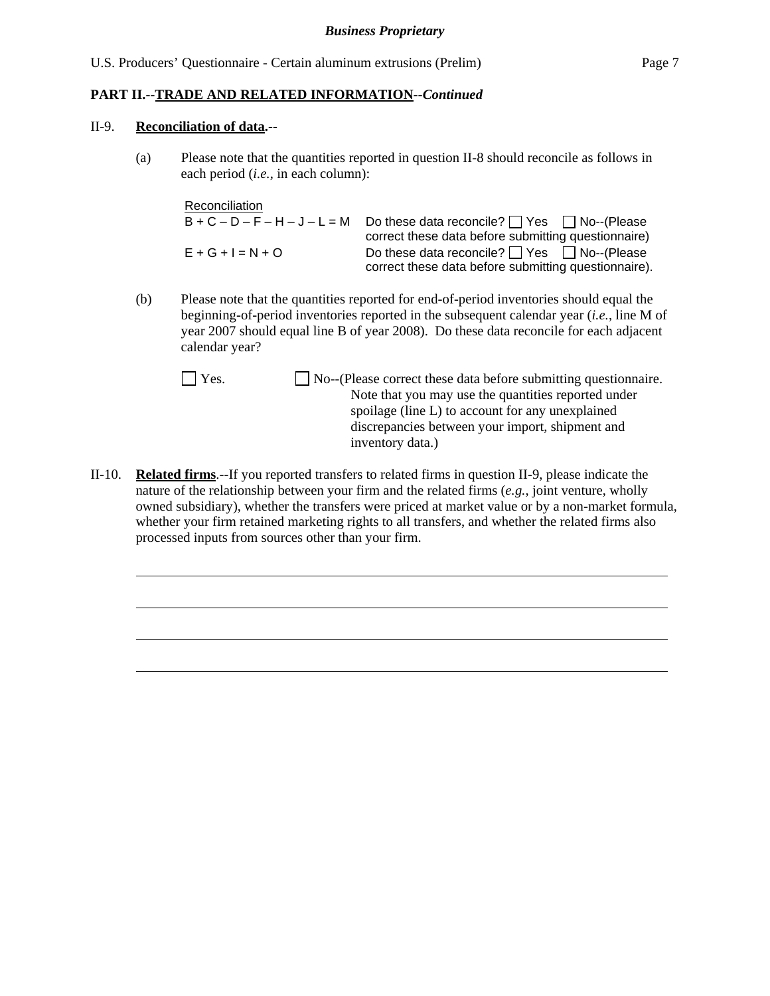#### **PART II.--TRADE AND RELATED INFORMATION***--Continued*

#### II-9. **Reconciliation of data.--**

 $\overline{a}$ 

(a) Please note that the quantities reported in question II-8 should reconcile as follows in each period (*i.e.*, in each column):

Reconciliation  $B + C - D - F - H - J - L = M$  Do these data reconcile?  $\Box$  Yes  $\Box$  No--(Please correct these data before submitting questionnaire)  $E + G + I = N + O$  Do these data reconcile?  $\Box$  Yes  $\Box$  No--(Please correct these data before submitting questionnaire).

- (b) Please note that the quantities reported for end-of-period inventories should equal the beginning-of-period inventories reported in the subsequent calendar year (*i.e.*, line M of year 2007 should equal line B of year 2008). Do these data reconcile for each adjacent calendar year?
	- Yes. No--(Please correct these data before submitting questionnaire. Note that you may use the quantities reported under spoilage (line L) to account for any unexplained discrepancies between your import, shipment and inventory data.)
- II-10. **Related firms**.--If you reported transfers to related firms in question II-9, please indicate the nature of the relationship between your firm and the related firms (*e.g.*, joint venture, wholly owned subsidiary), whether the transfers were priced at market value or by a non-market formula, whether your firm retained marketing rights to all transfers, and whether the related firms also processed inputs from sources other than your firm.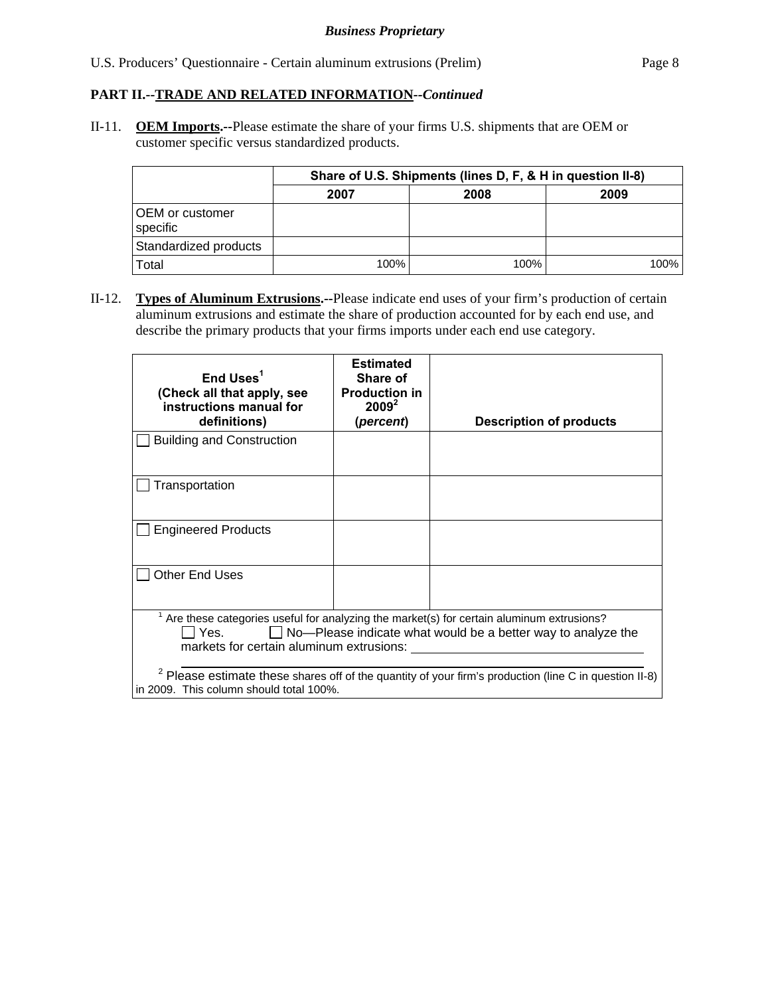U.S. Producers' Questionnaire - Certain aluminum extrusions (Prelim) Page 8

#### **PART II.--TRADE AND RELATED INFORMATION***--Continued*

II-11. **OEM Imports.--**Please estimate the share of your firms U.S. shipments that are OEM or customer specific versus standardized products.

|                                    | Share of U.S. Shipments (lines D, F, & H in question II-8) |      |         |  |  |  |
|------------------------------------|------------------------------------------------------------|------|---------|--|--|--|
|                                    | 2007                                                       | 2008 | 2009    |  |  |  |
| <b>OEM</b> or customer<br>specific |                                                            |      |         |  |  |  |
| Standardized products              |                                                            |      |         |  |  |  |
| Total                              | 100%                                                       | 100% | $100\%$ |  |  |  |

II-12. **Types of Aluminum Extrusions.--**Please indicate end uses of your firm's production of certain aluminum extrusions and estimate the share of production accounted for by each end use, and describe the primary products that your firms imports under each end use category.

| End Uses $1$<br>(Check all that apply, see<br>instructions manual for<br>definitions)                                                                                                                                   | <b>Estimated</b><br>Share of<br><b>Production in</b><br>$2009^2$<br>(percent) | <b>Description of products</b>                                                                                    |  |  |  |
|-------------------------------------------------------------------------------------------------------------------------------------------------------------------------------------------------------------------------|-------------------------------------------------------------------------------|-------------------------------------------------------------------------------------------------------------------|--|--|--|
| <b>Building and Construction</b>                                                                                                                                                                                        |                                                                               |                                                                                                                   |  |  |  |
| Transportation                                                                                                                                                                                                          |                                                                               |                                                                                                                   |  |  |  |
| <b>Engineered Products</b>                                                                                                                                                                                              |                                                                               |                                                                                                                   |  |  |  |
| <b>Other End Uses</b>                                                                                                                                                                                                   |                                                                               |                                                                                                                   |  |  |  |
| Are these categories useful for analyzing the market(s) for certain aluminum extrusions?<br>$\Box$ No-Please indicate what would be a better way to analyze the<br>l l Yes.<br>markets for certain aluminum extrusions: |                                                                               |                                                                                                                   |  |  |  |
| in 2009. This column should total 100%.                                                                                                                                                                                 |                                                                               | <sup>2</sup> Please estimate these shares off of the quantity of your firm's production (line C in question II-8) |  |  |  |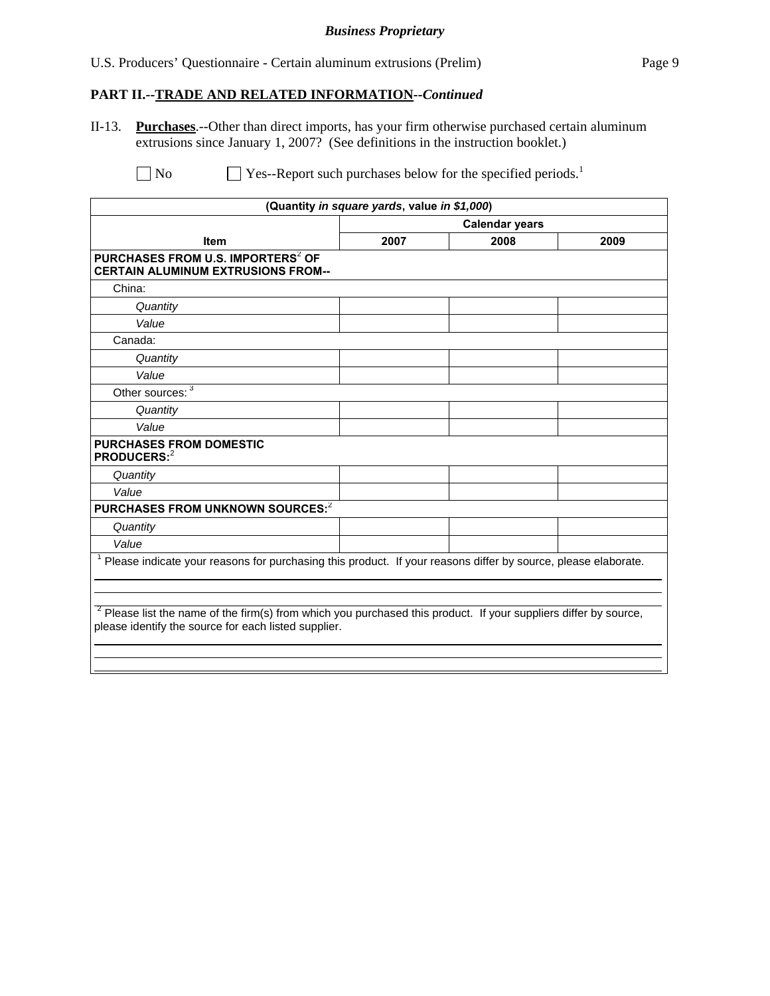#### *Business Proprietary*

U.S. Producers' Questionnaire - Certain aluminum extrusions (Prelim) Page 9

## **PART II.--TRADE AND RELATED INFORMATION***--Continued*

II-13. **Purchases**.--Other than direct imports, has your firm otherwise purchased certain aluminum extrusions since January 1, 2007? (See definitions in the instruction booklet.)

 $\Box$  No  $\Box$  Yes--Report such purchases below for the specified periods.<sup>1</sup>

|                                                                                                                                                                            | (Quantity in square yards, value in \$1,000) |      |      |  |  |
|----------------------------------------------------------------------------------------------------------------------------------------------------------------------------|----------------------------------------------|------|------|--|--|
|                                                                                                                                                                            | <b>Calendar years</b>                        |      |      |  |  |
| <b>Item</b>                                                                                                                                                                | 2007                                         | 2008 | 2009 |  |  |
| PURCHASES FROM U.S. IMPORTERS <sup>2</sup> OF<br><b>CERTAIN ALUMINUM EXTRUSIONS FROM--</b>                                                                                 |                                              |      |      |  |  |
| China:                                                                                                                                                                     |                                              |      |      |  |  |
| Quantity                                                                                                                                                                   |                                              |      |      |  |  |
| Value                                                                                                                                                                      |                                              |      |      |  |  |
| Canada:                                                                                                                                                                    |                                              |      |      |  |  |
| Quantity                                                                                                                                                                   |                                              |      |      |  |  |
| Value                                                                                                                                                                      |                                              |      |      |  |  |
| Other sources: $3\overline{3}$                                                                                                                                             |                                              |      |      |  |  |
| Quantity                                                                                                                                                                   |                                              |      |      |  |  |
| Value                                                                                                                                                                      |                                              |      |      |  |  |
| <b>PURCHASES FROM DOMESTIC</b><br><b>PRODUCERS:</b> <sup>2</sup>                                                                                                           |                                              |      |      |  |  |
| Quantity                                                                                                                                                                   |                                              |      |      |  |  |
| Value                                                                                                                                                                      |                                              |      |      |  |  |
| PURCHASES FROM UNKNOWN SOURCES:2                                                                                                                                           |                                              |      |      |  |  |
| Quantity                                                                                                                                                                   |                                              |      |      |  |  |
| Value                                                                                                                                                                      |                                              |      |      |  |  |
| Please indicate your reasons for purchasing this product. If your reasons differ by source, please elaborate.                                                              |                                              |      |      |  |  |
| $2$ Please list the name of the firm(s) from which you purchased this product. If your suppliers differ by source,<br>please identify the source for each listed supplier. |                                              |      |      |  |  |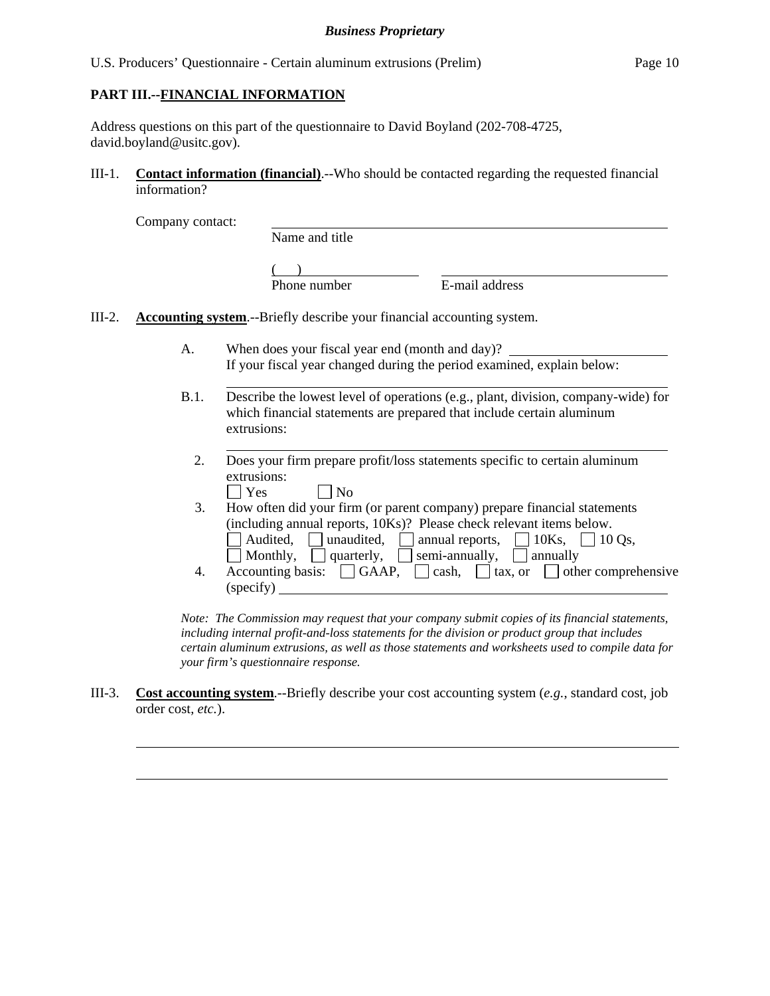#### **PART III.--FINANCIAL INFORMATION**

l

l

Address questions on this part of the questionnaire to David Boyland (202-708-4725, david.boyland@usitc.gov).

III-1. **Contact information (financial)**.--Who should be contacted regarding the requested financial information?

Company contact:

 $\overline{a}$ 

l

Name and title

 $($ Phone number E-mail address

- III-2. **Accounting system**.--Briefly describe your financial accounting system.
	- A. When does your fiscal year end (month and day)? If your fiscal year changed during the period examined, explain below:
	- B.1. Describe the lowest level of operations (e.g., plant, division, company-wide) for which financial statements are prepared that include certain aluminum extrusions:
		- 2. Does your firm prepare profit/loss statements specific to certain aluminum  $\Box$  Yes
		- $\Box$  No 3. How often did your firm (or parent company) prepare financial statements (including annual reports, 10Ks)? Please check relevant items below.  $\Box$  Audited,  $\Box$  unaudited,  $\Box$  annual reports,  $\Box$  10Ks,  $\Box$  10 Qs,  $\Box$  Monthly,  $\Box$  quarterly,  $\Box$  semi-annually,  $\Box$  annually 4. Accounting basis:  $\Box$  GAAP,  $\Box$  cash,  $\Box$  tax, or  $\Box$  other comprehensive
		- (specify)

*Note: The Commission may request that your company submit copies of its financial statements, including internal profit-and-loss statements for the division or product group that includes certain aluminum extrusions, as well as those statements and worksheets used to compile data for your firm's questionnaire response.* 

III-3. **Cost accounting system**.--Briefly describe your cost accounting system (*e.g.*, standard cost, job order cost, *etc.*).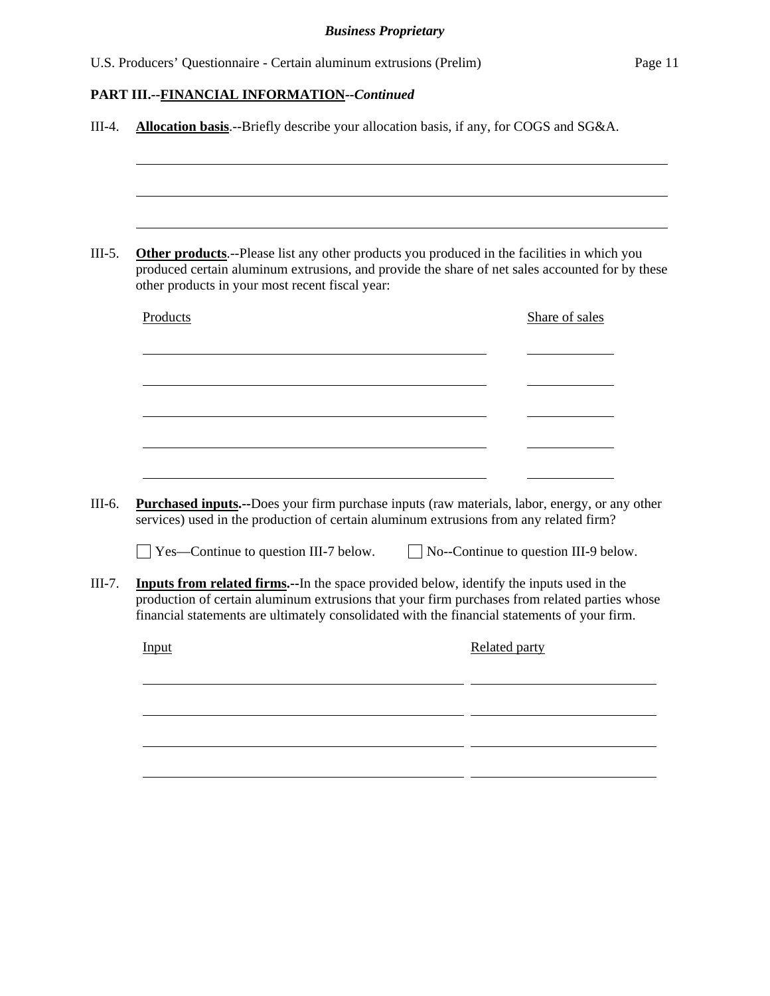| produced certain aluminum extrusions, and provide the share of net sales accounted for by these<br>other products in your most recent fiscal year:                                                                                                                                                                                                                                                   | <b>Other products</b> .--Please list any other products you produced in the facilities in which you |                                              |                |
|------------------------------------------------------------------------------------------------------------------------------------------------------------------------------------------------------------------------------------------------------------------------------------------------------------------------------------------------------------------------------------------------------|-----------------------------------------------------------------------------------------------------|----------------------------------------------|----------------|
| Products                                                                                                                                                                                                                                                                                                                                                                                             |                                                                                                     |                                              | Share of sales |
|                                                                                                                                                                                                                                                                                                                                                                                                      |                                                                                                     |                                              |                |
|                                                                                                                                                                                                                                                                                                                                                                                                      |                                                                                                     |                                              |                |
|                                                                                                                                                                                                                                                                                                                                                                                                      |                                                                                                     |                                              |                |
| <b>Purchased inputs.</b> --Does your firm purchase inputs (raw materials, labor, energy, or any other                                                                                                                                                                                                                                                                                                |                                                                                                     |                                              |                |
| $\perp$ Yes—Continue to question III-7 below.                                                                                                                                                                                                                                                                                                                                                        |                                                                                                     | $\Box$ No--Continue to question III-9 below. |                |
|                                                                                                                                                                                                                                                                                                                                                                                                      |                                                                                                     |                                              |                |
| services) used in the production of certain aluminum extrusions from any related firm?<br><b>Inputs from related firms.</b> --In the space provided below, identify the inputs used in the<br>production of certain aluminum extrusions that your firm purchases from related parties whose<br>financial statements are ultimately consolidated with the financial statements of your firm.<br>Input |                                                                                                     | Related party                                |                |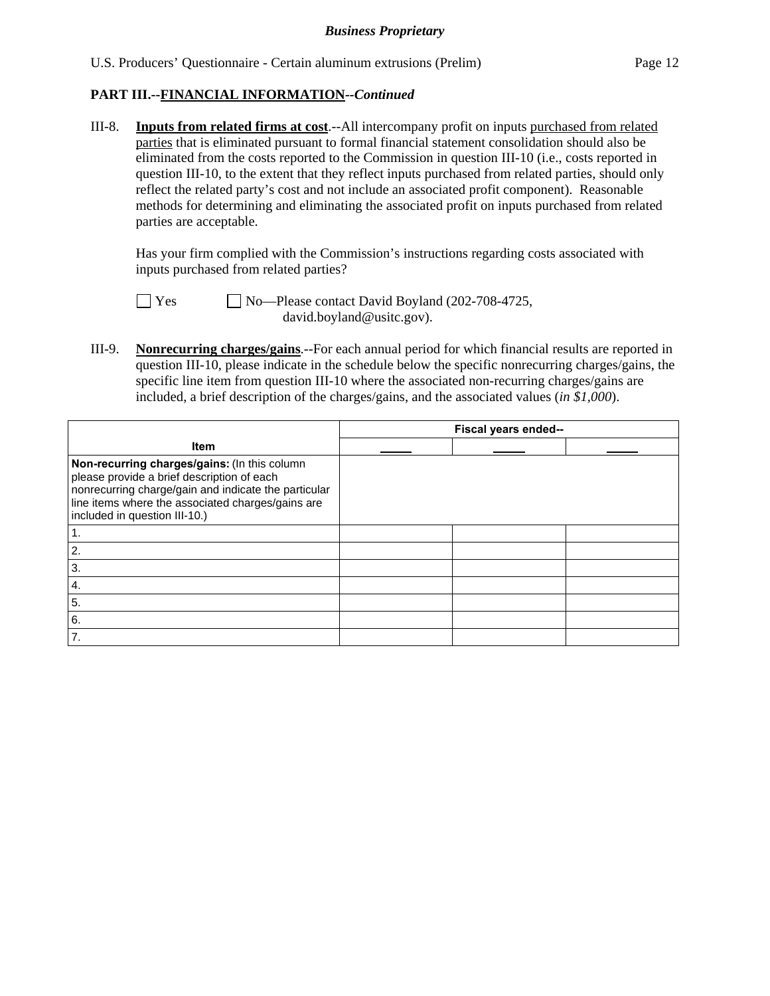III-8. **Inputs from related firms at cost**.--All intercompany profit on inputs purchased from related parties that is eliminated pursuant to formal financial statement consolidation should also be eliminated from the costs reported to the Commission in question III-10 (i.e., costs reported in question III-10, to the extent that they reflect inputs purchased from related parties, should only reflect the related party's cost and not include an associated profit component). Reasonable methods for determining and eliminating the associated profit on inputs purchased from related parties are acceptable.

 Has your firm complied with the Commission's instructions regarding costs associated with inputs purchased from related parties?

 Yes No—Please contact David Boyland (202-708-4725, david.boyland@usitc.gov).

III-9. **Nonrecurring charges/gains**.--For each annual period for which financial results are reported in question III-10, please indicate in the schedule below the specific nonrecurring charges/gains, the specific line item from question III-10 where the associated non-recurring charges/gains are included, a brief description of the charges/gains, and the associated values (*in \$1,000*).

|                                                                                                                                                                                                                                          | Fiscal years ended-- |  |
|------------------------------------------------------------------------------------------------------------------------------------------------------------------------------------------------------------------------------------------|----------------------|--|
| <b>Item</b>                                                                                                                                                                                                                              |                      |  |
| Non-recurring charges/gains: (In this column<br>please provide a brief description of each<br>nonrecurring charge/gain and indicate the particular<br>line items where the associated charges/gains are<br>included in question III-10.) |                      |  |
|                                                                                                                                                                                                                                          |                      |  |
| 2.                                                                                                                                                                                                                                       |                      |  |
| 3.                                                                                                                                                                                                                                       |                      |  |
| $\boldsymbol{4}$ .                                                                                                                                                                                                                       |                      |  |
| 5.                                                                                                                                                                                                                                       |                      |  |
| 6.                                                                                                                                                                                                                                       |                      |  |
| 7.                                                                                                                                                                                                                                       |                      |  |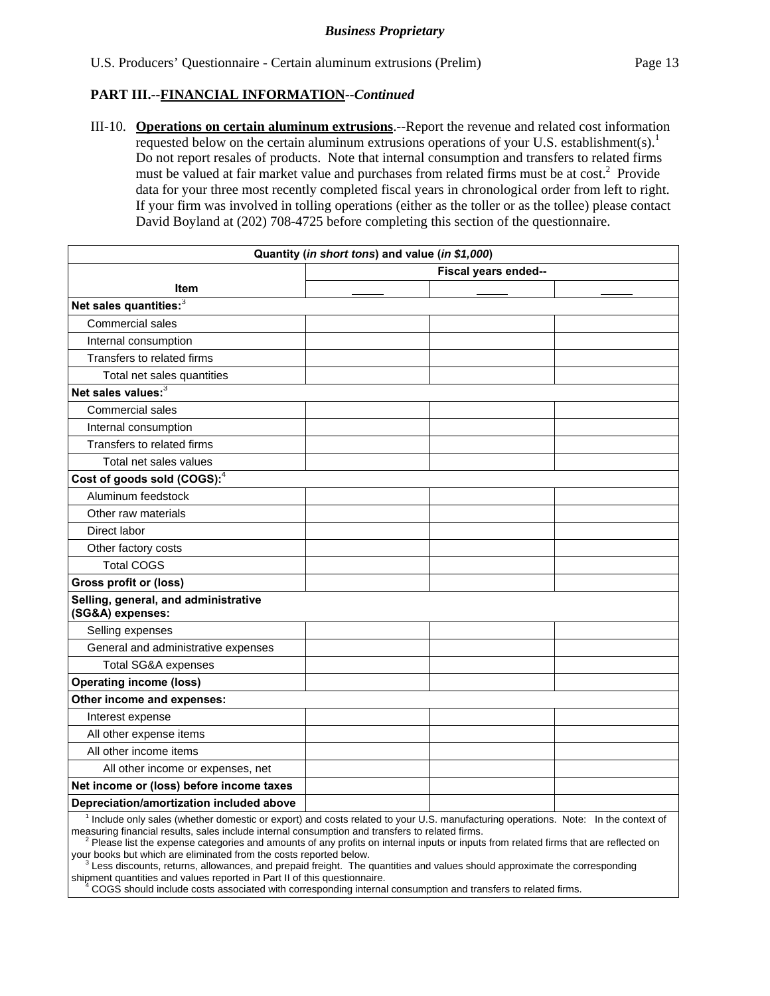III-10. **Operations on certain aluminum extrusions**.--Report the revenue and related cost information requested below on the certain aluminum extrusions operations of your U.S. establishment(s).<sup>1</sup> Do not report resales of products. Note that internal consumption and transfers to related firms must be valued at fair market value and purchases from related firms must be at  $cost^2$ . Provide data for your three most recently completed fiscal years in chronological order from left to right. If your firm was involved in tolling operations (either as the toller or as the tollee) please contact David Boyland at (202) 708-4725 before completing this section of the questionnaire.

|                                                                                                                                  | Quantity (in short tons) and value (in \$1,000) |  |  |
|----------------------------------------------------------------------------------------------------------------------------------|-------------------------------------------------|--|--|
| Fiscal years ended--                                                                                                             |                                                 |  |  |
| <b>Item</b>                                                                                                                      |                                                 |  |  |
| Net sales quantities: <sup>3</sup>                                                                                               |                                                 |  |  |
| Commercial sales                                                                                                                 |                                                 |  |  |
| Internal consumption                                                                                                             |                                                 |  |  |
| Transfers to related firms                                                                                                       |                                                 |  |  |
| Total net sales quantities                                                                                                       |                                                 |  |  |
| Net sales values: <sup>3</sup>                                                                                                   |                                                 |  |  |
| Commercial sales                                                                                                                 |                                                 |  |  |
| Internal consumption                                                                                                             |                                                 |  |  |
| Transfers to related firms                                                                                                       |                                                 |  |  |
| Total net sales values                                                                                                           |                                                 |  |  |
| Cost of goods sold (COGS): <sup>4</sup>                                                                                          |                                                 |  |  |
| Aluminum feedstock                                                                                                               |                                                 |  |  |
| Other raw materials                                                                                                              |                                                 |  |  |
| Direct labor                                                                                                                     |                                                 |  |  |
| Other factory costs                                                                                                              |                                                 |  |  |
| <b>Total COGS</b>                                                                                                                |                                                 |  |  |
| Gross profit or (loss)                                                                                                           |                                                 |  |  |
| Selling, general, and administrative<br>(SG&A) expenses:                                                                         |                                                 |  |  |
| Selling expenses                                                                                                                 |                                                 |  |  |
| General and administrative expenses                                                                                              |                                                 |  |  |
| <b>Total SG&amp;A expenses</b>                                                                                                   |                                                 |  |  |
| <b>Operating income (loss)</b>                                                                                                   |                                                 |  |  |
| Other income and expenses:                                                                                                       |                                                 |  |  |
| Interest expense                                                                                                                 |                                                 |  |  |
| All other expense items                                                                                                          |                                                 |  |  |
| All other income items                                                                                                           |                                                 |  |  |
| All other income or expenses, net                                                                                                |                                                 |  |  |
| Net income or (loss) before income taxes                                                                                         |                                                 |  |  |
| Depreciation/amortization included above                                                                                         |                                                 |  |  |
| Include only sales (whether domestic or export) and costs related to your U.S. manufacturing operations. Note: In the context of |                                                 |  |  |

measuring financial results, sales include internal consumption and transfers to related firms.<br><sup>2</sup> Please list the expense categories and amounts of any profits on internal inputs or inputs from related firms that are ref your books but which are eliminated from the costs reported below.

 $3$  Less discounts, returns, allowances, and prepaid freight. The quantities and values should approximate the corresponding shipment quantities and values reported in Part II of this questionnaire.

 <sup>4</sup> COGS should include costs associated with corresponding internal consumption and transfers to related firms.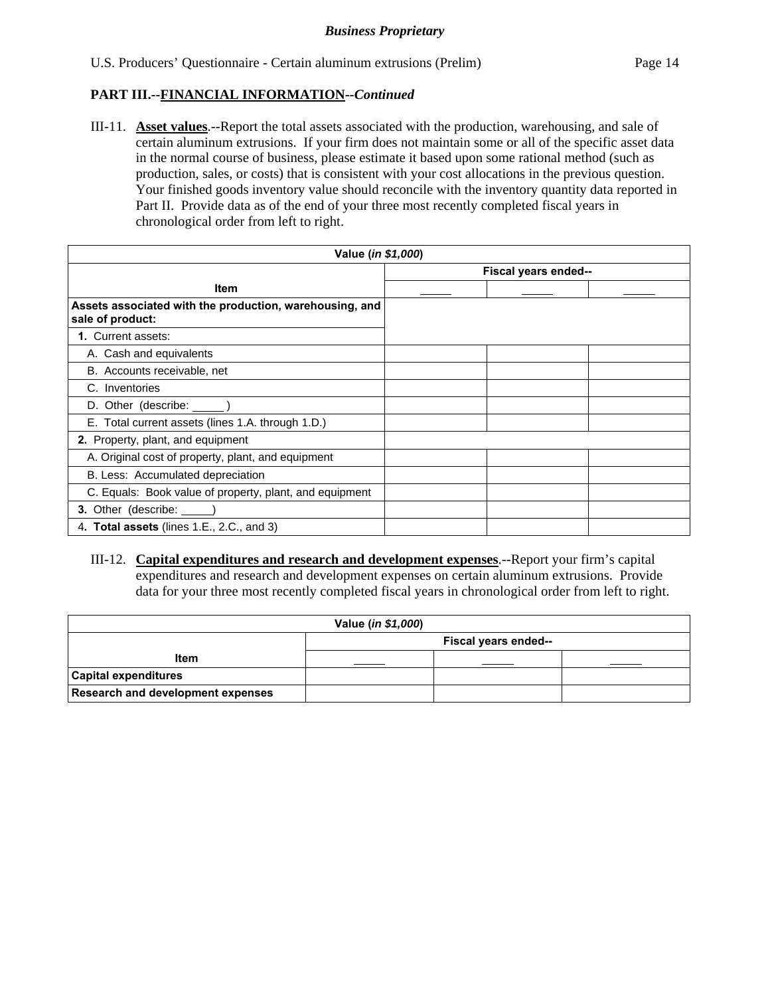III-11. **Asset values**.--Report the total assets associated with the production, warehousing, and sale of certain aluminum extrusions. If your firm does not maintain some or all of the specific asset data in the normal course of business, please estimate it based upon some rational method (such as production, sales, or costs) that is consistent with your cost allocations in the previous question. Your finished goods inventory value should reconcile with the inventory quantity data reported in Part II. Provide data as of the end of your three most recently completed fiscal years in chronological order from left to right.

| Value (in \$1,000)                                                          |                      |  |  |  |
|-----------------------------------------------------------------------------|----------------------|--|--|--|
|                                                                             | Fiscal years ended-- |  |  |  |
| <b>Item</b>                                                                 |                      |  |  |  |
| Assets associated with the production, warehousing, and<br>sale of product: |                      |  |  |  |
| 1. Current assets:                                                          |                      |  |  |  |
| A. Cash and equivalents                                                     |                      |  |  |  |
| B. Accounts receivable, net                                                 |                      |  |  |  |
| C. Inventories                                                              |                      |  |  |  |
| D. Other (describe: ______)                                                 |                      |  |  |  |
| E. Total current assets (lines 1.A. through 1.D.)                           |                      |  |  |  |
| 2. Property, plant, and equipment                                           |                      |  |  |  |
| A. Original cost of property, plant, and equipment                          |                      |  |  |  |
| B. Less: Accumulated depreciation                                           |                      |  |  |  |
| C. Equals: Book value of property, plant, and equipment                     |                      |  |  |  |
| 3. Other (describe: _____                                                   |                      |  |  |  |
| 4. Total assets (lines 1.E., 2.C., and 3)                                   |                      |  |  |  |

III-12. **Capital expenditures and research and development expenses**.--Report your firm's capital expenditures and research and development expenses on certain aluminum extrusions. Provide data for your three most recently completed fiscal years in chronological order from left to right.

| Value ( <i>in \$1,000</i> )              |                      |  |  |  |
|------------------------------------------|----------------------|--|--|--|
|                                          | Fiscal years ended-- |  |  |  |
| Item                                     |                      |  |  |  |
| <b>Capital expenditures</b>              |                      |  |  |  |
| <b>Research and development expenses</b> |                      |  |  |  |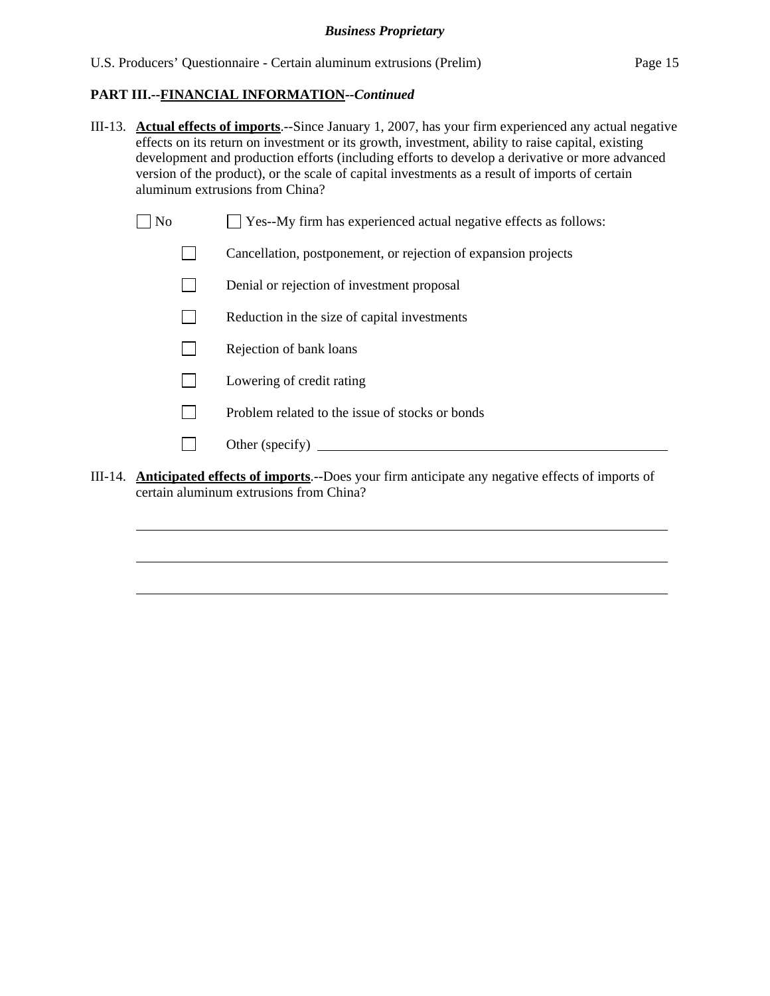- III-13. **Actual effects of imports**.--Since January 1, 2007, has your firm experienced any actual negative effects on its return on investment or its growth, investment, ability to raise capital, existing development and production efforts (including efforts to develop a derivative or more advanced version of the product), or the scale of capital investments as a result of imports of certain aluminum extrusions from China?
	- $\Box$  No  $\Box$  Yes--My firm has experienced actual negative effects as follows:
		- Cancellation, postponement, or rejection of expansion projects
		- Denial or rejection of investment proposal
		- $\Box$  Reduction in the size of capital investments
		- $\Box$  Rejection of bank loans
		- **Lowering of credit rating**
		- $\Box$  Problem related to the issue of stocks or bonds
		- Other (specify)

l

l

l

III-14. **Anticipated effects of imports**.--Does your firm anticipate any negative effects of imports of certain aluminum extrusions from China?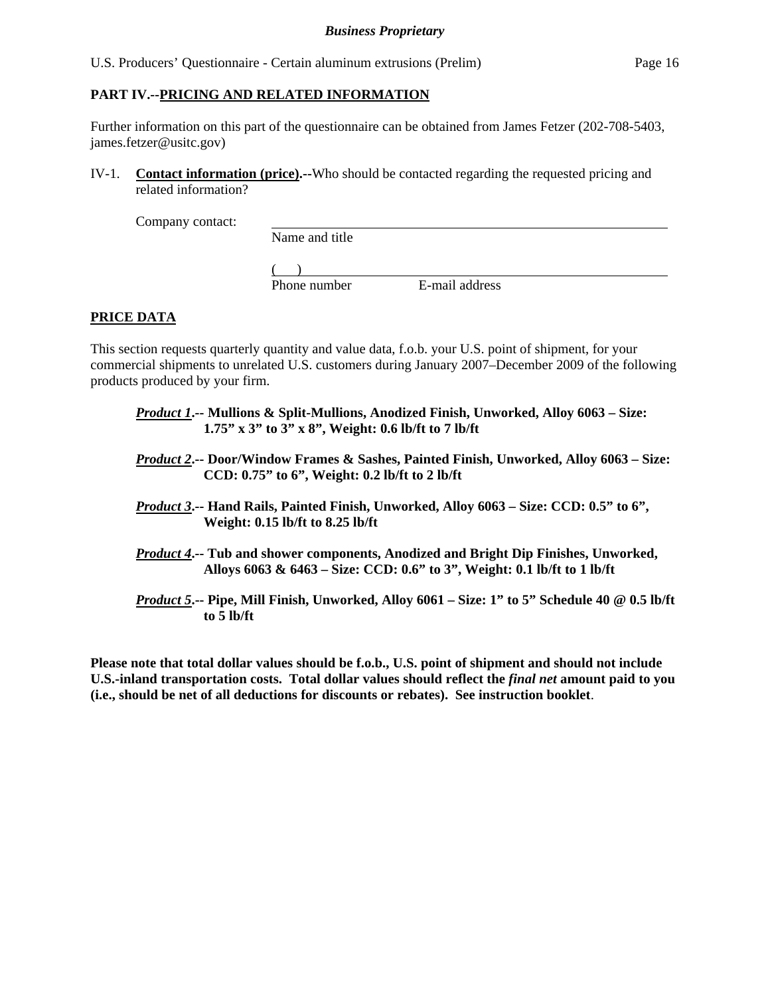#### **PART IV.--PRICING AND RELATED INFORMATION**

Further information on this part of the questionnaire can be obtained from James Fetzer (202-708-5403, james.fetzer@usitc.gov)

IV-1. **Contact information (price).--**Who should be contacted regarding the requested pricing and related information?

Company contact:

Name and title

 $($ 

Phone number E-mail address

## **PRICE DATA**

This section requests quarterly quantity and value data, f.o.b. your U.S. point of shipment, for your commercial shipments to unrelated U.S. customers during January 2007–December 2009 of the following products produced by your firm.

- *Product 1***.-- Mullions & Split-Mullions, Anodized Finish, Unworked, Alloy 6063 Size: 1.75" x 3" to 3" x 8", Weight: 0.6 lb/ft to 7 lb/ft**
- *Product 2***.-- Door/Window Frames & Sashes, Painted Finish, Unworked, Alloy 6063 Size: CCD: 0.75" to 6", Weight: 0.2 lb/ft to 2 lb/ft**
- *Product 3***.-- Hand Rails, Painted Finish, Unworked, Alloy 6063 Size: CCD: 0.5" to 6", Weight: 0.15 lb/ft to 8.25 lb/ft**
- *Product 4***.-- Tub and shower components, Anodized and Bright Dip Finishes, Unworked, Alloys 6063 & 6463 – Size: CCD: 0.6" to 3", Weight: 0.1 lb/ft to 1 lb/ft**
- *Product 5***.-- Pipe, Mill Finish, Unworked, Alloy 6061 Size: 1" to 5" Schedule 40 @ 0.5 lb/ft to 5 lb/ft**

**Please note that total dollar values should be f.o.b., U.S. point of shipment and should not include U.S.-inland transportation costs. Total dollar values should reflect the** *final net* **amount paid to you (i.e., should be net of all deductions for discounts or rebates). See instruction booklet**.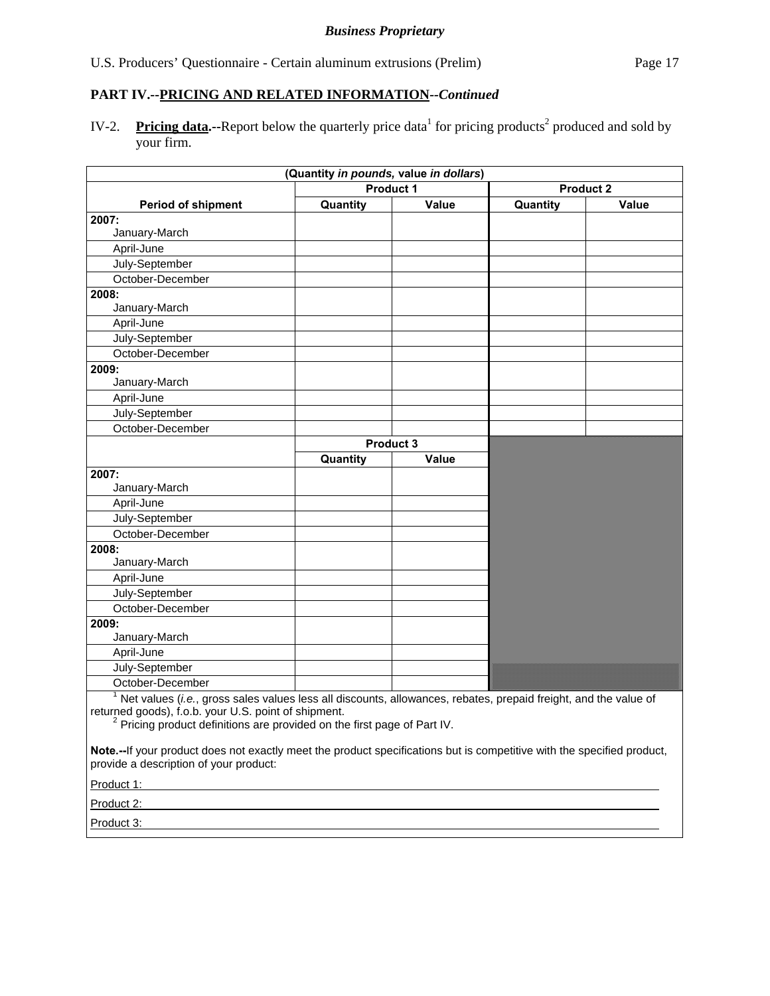IV-2. Pricing data.--Report below the quarterly price data<sup>1</sup> for pricing products<sup>2</sup> produced and sold by your firm.

|                                                                                                                                                                                                                                                                                                                                                                                                       | (Quantity in pounds, value in dollars) |       |                  |       |
|-------------------------------------------------------------------------------------------------------------------------------------------------------------------------------------------------------------------------------------------------------------------------------------------------------------------------------------------------------------------------------------------------------|----------------------------------------|-------|------------------|-------|
|                                                                                                                                                                                                                                                                                                                                                                                                       | Product 1                              |       | <b>Product 2</b> |       |
| <b>Period of shipment</b>                                                                                                                                                                                                                                                                                                                                                                             | Quantity                               | Value | Quantity         | Value |
| 2007:                                                                                                                                                                                                                                                                                                                                                                                                 |                                        |       |                  |       |
| January-March                                                                                                                                                                                                                                                                                                                                                                                         |                                        |       |                  |       |
| April-June                                                                                                                                                                                                                                                                                                                                                                                            |                                        |       |                  |       |
| July-September                                                                                                                                                                                                                                                                                                                                                                                        |                                        |       |                  |       |
| October-December                                                                                                                                                                                                                                                                                                                                                                                      |                                        |       |                  |       |
| 2008:                                                                                                                                                                                                                                                                                                                                                                                                 |                                        |       |                  |       |
| January-March                                                                                                                                                                                                                                                                                                                                                                                         |                                        |       |                  |       |
| April-June                                                                                                                                                                                                                                                                                                                                                                                            |                                        |       |                  |       |
| July-September                                                                                                                                                                                                                                                                                                                                                                                        |                                        |       |                  |       |
| October-December                                                                                                                                                                                                                                                                                                                                                                                      |                                        |       |                  |       |
| 2009:                                                                                                                                                                                                                                                                                                                                                                                                 |                                        |       |                  |       |
| January-March                                                                                                                                                                                                                                                                                                                                                                                         |                                        |       |                  |       |
| April-June                                                                                                                                                                                                                                                                                                                                                                                            |                                        |       |                  |       |
| July-September                                                                                                                                                                                                                                                                                                                                                                                        |                                        |       |                  |       |
| October-December                                                                                                                                                                                                                                                                                                                                                                                      |                                        |       |                  |       |
|                                                                                                                                                                                                                                                                                                                                                                                                       | Product 3                              |       |                  |       |
|                                                                                                                                                                                                                                                                                                                                                                                                       | Quantity                               | Value |                  |       |
| 2007:                                                                                                                                                                                                                                                                                                                                                                                                 |                                        |       |                  |       |
| January-March                                                                                                                                                                                                                                                                                                                                                                                         |                                        |       |                  |       |
| April-June                                                                                                                                                                                                                                                                                                                                                                                            |                                        |       |                  |       |
| July-September                                                                                                                                                                                                                                                                                                                                                                                        |                                        |       |                  |       |
| October-December                                                                                                                                                                                                                                                                                                                                                                                      |                                        |       |                  |       |
| 2008:                                                                                                                                                                                                                                                                                                                                                                                                 |                                        |       |                  |       |
| January-March                                                                                                                                                                                                                                                                                                                                                                                         |                                        |       |                  |       |
| April-June                                                                                                                                                                                                                                                                                                                                                                                            |                                        |       |                  |       |
| July-September                                                                                                                                                                                                                                                                                                                                                                                        |                                        |       |                  |       |
| October-December                                                                                                                                                                                                                                                                                                                                                                                      |                                        |       |                  |       |
| 2009:                                                                                                                                                                                                                                                                                                                                                                                                 |                                        |       |                  |       |
| January-March                                                                                                                                                                                                                                                                                                                                                                                         |                                        |       |                  |       |
| April-June                                                                                                                                                                                                                                                                                                                                                                                            |                                        |       |                  |       |
| July-September                                                                                                                                                                                                                                                                                                                                                                                        |                                        |       |                  |       |
| October-December                                                                                                                                                                                                                                                                                                                                                                                      |                                        |       |                  |       |
| $1$ Net values ( <i>i.e.</i> , gross sales values less all discounts, allowances, rebates, prepaid freight, and the value of<br>returned goods), f.o.b. your U.S. point of shipment.<br><sup>2</sup> Pricing product definitions are provided on the first page of Part IV.<br>Note.--If your product does not exactly meet the product specifications but is competitive with the specified product, |                                        |       |                  |       |
| provide a description of your product:                                                                                                                                                                                                                                                                                                                                                                |                                        |       |                  |       |

Product 1:

Product 2:

Product 3: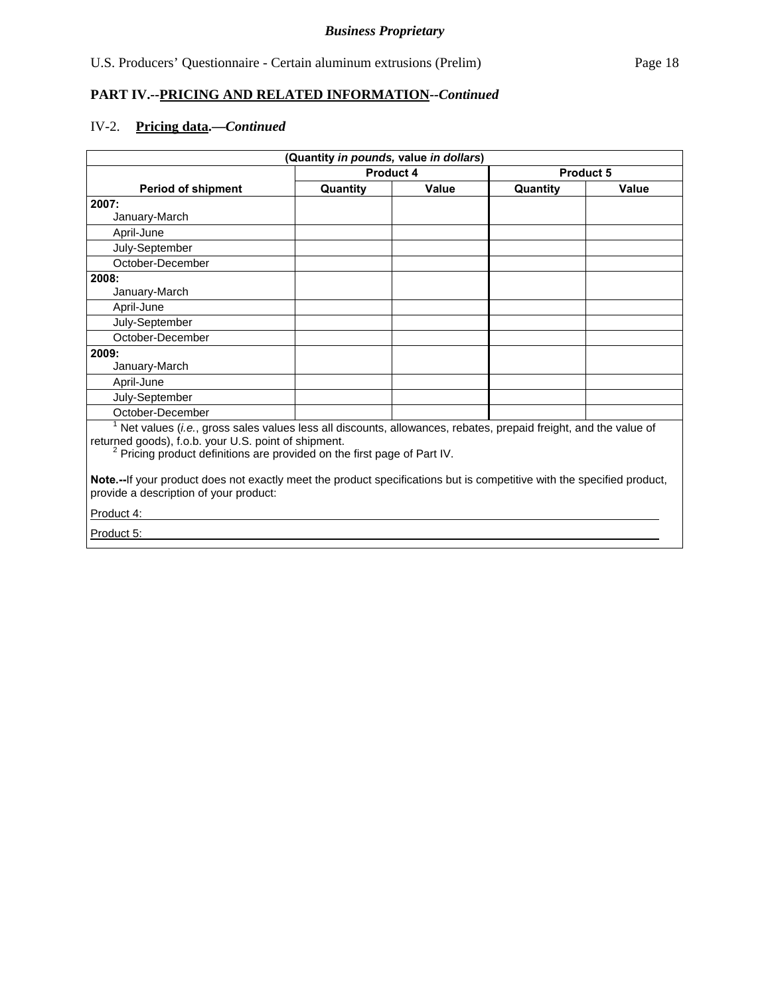#### IV-2. **Pricing data.—***Continued*

| (Quantity in pounds, value in dollars)                                                                          |                  |              |                  |              |
|-----------------------------------------------------------------------------------------------------------------|------------------|--------------|------------------|--------------|
|                                                                                                                 | <b>Product 4</b> |              | <b>Product 5</b> |              |
| <b>Period of shipment</b>                                                                                       | Quantity         | <b>Value</b> | Quantity         | <b>Value</b> |
| 2007:                                                                                                           |                  |              |                  |              |
| January-March                                                                                                   |                  |              |                  |              |
| April-June                                                                                                      |                  |              |                  |              |
| July-September                                                                                                  |                  |              |                  |              |
| October-December                                                                                                |                  |              |                  |              |
| 2008:                                                                                                           |                  |              |                  |              |
| January-March                                                                                                   |                  |              |                  |              |
| April-June                                                                                                      |                  |              |                  |              |
| July-September                                                                                                  |                  |              |                  |              |
| October-December                                                                                                |                  |              |                  |              |
| 2009:                                                                                                           |                  |              |                  |              |
| January-March                                                                                                   |                  |              |                  |              |
| April-June                                                                                                      |                  |              |                  |              |
| July-September                                                                                                  |                  |              |                  |              |
| October-December                                                                                                |                  |              |                  |              |
| Net values (i.e., gross sales values less all discounts, allowances, rebates, prepaid freight, and the value of |                  |              |                  |              |

returned goods), f.o.b. your U.S. point of shipment.

<sup>2</sup> Pricing product definitions are provided on the first page of Part IV.

**Note.--**If your product does not exactly meet the product specifications but is competitive with the specified product, provide a description of your product:

Product 4:

Product 5: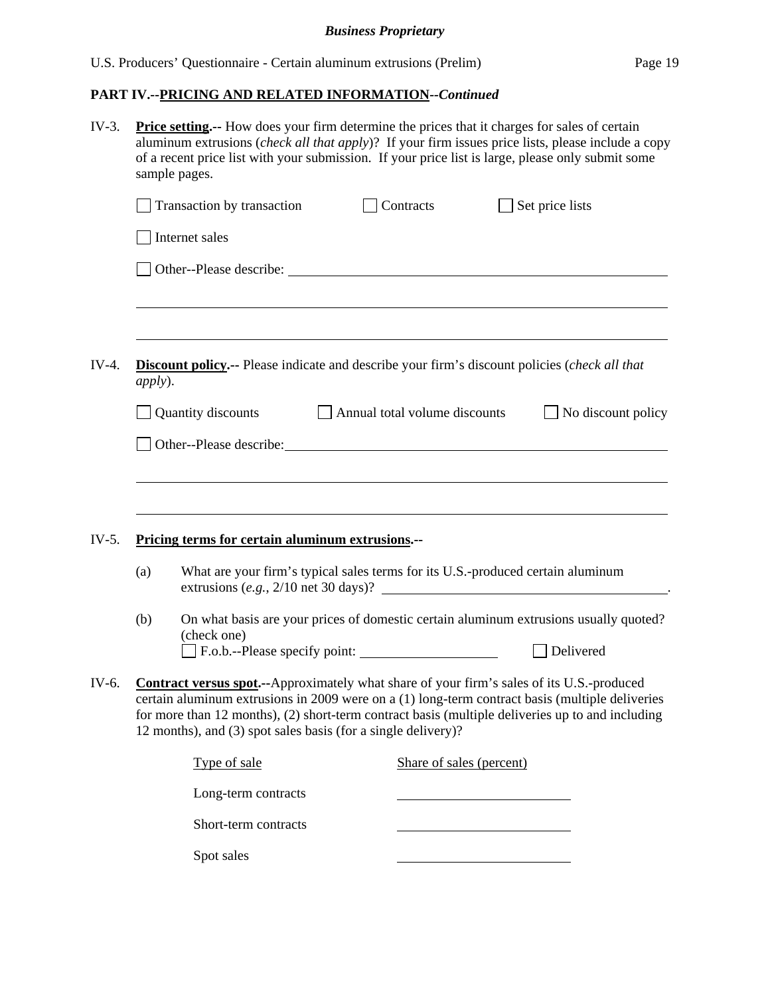## *Business Proprietary*

## **PART IV.--PRICING AND RELATED INFORMATION***--Continued*

| $IV-3.$ | <b>Price setting.</b> -- How does your firm determine the prices that it charges for sales of certain<br>aluminum extrusions (check all that apply)? If your firm issues price lists, please include a copy<br>of a recent price list with your submission. If your price list is large, please only submit some<br>sample pages. |                               |                                                                                                                                                                                                                                                                                                          |  |  |  |
|---------|-----------------------------------------------------------------------------------------------------------------------------------------------------------------------------------------------------------------------------------------------------------------------------------------------------------------------------------|-------------------------------|----------------------------------------------------------------------------------------------------------------------------------------------------------------------------------------------------------------------------------------------------------------------------------------------------------|--|--|--|
|         | Transaction by transaction                                                                                                                                                                                                                                                                                                        | Contracts                     | Set price lists                                                                                                                                                                                                                                                                                          |  |  |  |
|         | Internet sales                                                                                                                                                                                                                                                                                                                    |                               |                                                                                                                                                                                                                                                                                                          |  |  |  |
|         |                                                                                                                                                                                                                                                                                                                                   |                               |                                                                                                                                                                                                                                                                                                          |  |  |  |
| $IV-4.$ | <b>Discount policy.</b> -- Please indicate and describe your firm's discount policies (check all that<br><i>apply</i> ).                                                                                                                                                                                                          |                               |                                                                                                                                                                                                                                                                                                          |  |  |  |
|         | Quantity discounts                                                                                                                                                                                                                                                                                                                | Annual total volume discounts | No discount policy                                                                                                                                                                                                                                                                                       |  |  |  |
|         | Other--Please describe: Note that the set of the set of the set of the set of the set of the set of the set of the set of the set of the set of the set of the set of the set of the set of the set of the set of the set of t                                                                                                    |                               |                                                                                                                                                                                                                                                                                                          |  |  |  |
|         |                                                                                                                                                                                                                                                                                                                                   |                               |                                                                                                                                                                                                                                                                                                          |  |  |  |
| $IV-5.$ | Pricing terms for certain aluminum extrusions.--                                                                                                                                                                                                                                                                                  |                               |                                                                                                                                                                                                                                                                                                          |  |  |  |
|         | (a)                                                                                                                                                                                                                                                                                                                               |                               | What are your firm's typical sales terms for its U.S.-produced certain aluminum<br>extrusions $(e.g., 2/10$ net 30 days)?                                                                                                                                                                                |  |  |  |
|         | (b)<br>(check one)                                                                                                                                                                                                                                                                                                                |                               | On what basis are your prices of domestic certain aluminum extrusions usually quoted?<br>Delivered                                                                                                                                                                                                       |  |  |  |
| IV-6.   | 12 months), and (3) spot sales basis (for a single delivery)?                                                                                                                                                                                                                                                                     |                               | <b>Contract versus spot.</b> --Approximately what share of your firm's sales of its U.S.-produced<br>certain aluminum extrusions in 2009 were on a (1) long-term contract basis (multiple deliveries<br>for more than 12 months), (2) short-term contract basis (multiple deliveries up to and including |  |  |  |
|         | Type of sale                                                                                                                                                                                                                                                                                                                      | Share of sales (percent)      |                                                                                                                                                                                                                                                                                                          |  |  |  |
|         | Long-term contracts                                                                                                                                                                                                                                                                                                               |                               |                                                                                                                                                                                                                                                                                                          |  |  |  |
|         | Short-term contracts                                                                                                                                                                                                                                                                                                              |                               |                                                                                                                                                                                                                                                                                                          |  |  |  |
|         | Spot sales                                                                                                                                                                                                                                                                                                                        |                               |                                                                                                                                                                                                                                                                                                          |  |  |  |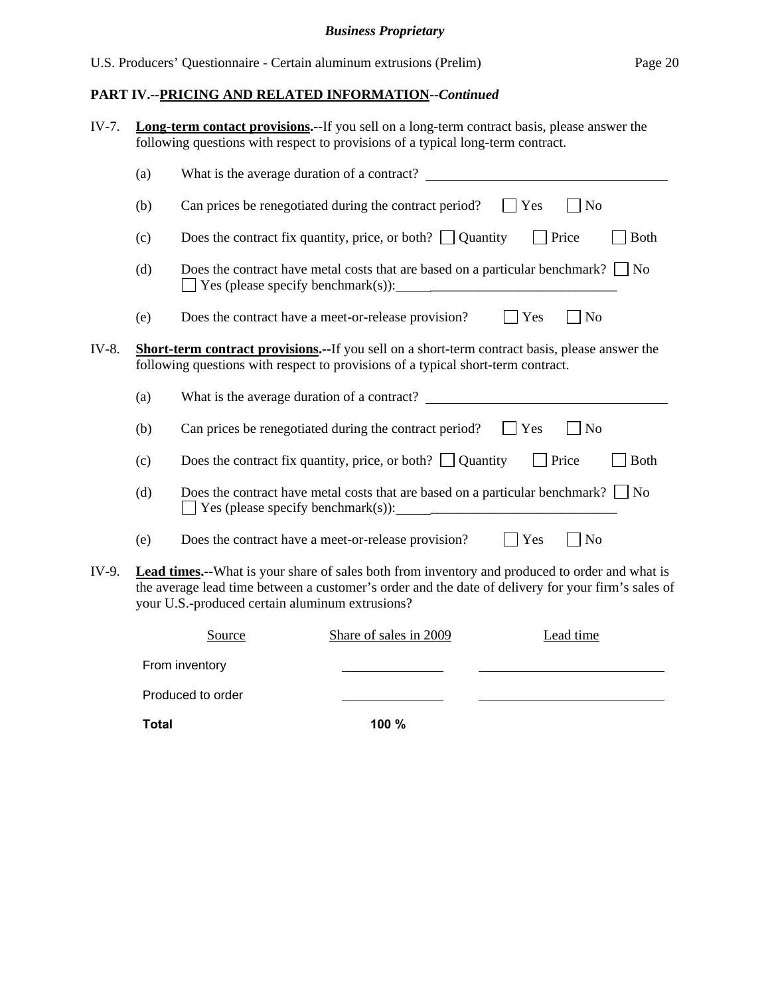## *Business Proprietary*

## **PART IV.--PRICING AND RELATED INFORMATION***--Continued*

| IV-7. |                                                                                                                                                                                            | <b>Long-term contact provisions.</b> --If you sell on a long-term contract basis, please answer the<br>following questions with respect to provisions of a typical long-term contract.                                                                          |  |  |  |
|-------|--------------------------------------------------------------------------------------------------------------------------------------------------------------------------------------------|-----------------------------------------------------------------------------------------------------------------------------------------------------------------------------------------------------------------------------------------------------------------|--|--|--|
|       | (a)                                                                                                                                                                                        |                                                                                                                                                                                                                                                                 |  |  |  |
|       | (b)                                                                                                                                                                                        | Can prices be renegotiated during the contract period?<br>$\Box$ Yes<br>N <sub>o</sub>                                                                                                                                                                          |  |  |  |
|       | (c)                                                                                                                                                                                        | Does the contract fix quantity, price, or both? $\Box$ Quantity<br>$\Box$ Price<br><b>Both</b>                                                                                                                                                                  |  |  |  |
|       | (d)                                                                                                                                                                                        | Does the contract have metal costs that are based on a particular benchmark? $\Box$ No                                                                                                                                                                          |  |  |  |
|       | (e)                                                                                                                                                                                        | Does the contract have a meet-or-release provision?<br>$ $ Yes<br><b>No</b>                                                                                                                                                                                     |  |  |  |
| IV-8. | <b>Short-term contract provisions.--</b> If you sell on a short-term contract basis, please answer the<br>following questions with respect to provisions of a typical short-term contract. |                                                                                                                                                                                                                                                                 |  |  |  |
|       | (a)                                                                                                                                                                                        | What is the average duration of a contract?                                                                                                                                                                                                                     |  |  |  |
|       | (b)                                                                                                                                                                                        | Can prices be renegotiated during the contract period? $\Box$ Yes<br>N <sub>o</sub>                                                                                                                                                                             |  |  |  |
|       | (c)                                                                                                                                                                                        | Does the contract fix quantity, price, or both? $\Box$ Quantity<br>$\Box$ Price<br><b>Both</b>                                                                                                                                                                  |  |  |  |
|       | (d)                                                                                                                                                                                        | Does the contract have metal costs that are based on a particular benchmark? $\Box$ No                                                                                                                                                                          |  |  |  |
|       | (e)                                                                                                                                                                                        | Does the contract have a meet-or-release provision?<br>Yes<br>N <sub>o</sub>                                                                                                                                                                                    |  |  |  |
| IV-9. |                                                                                                                                                                                            | <b>Lead times.</b> --What is your share of sales both from inventory and produced to order and what is<br>the average lead time between a customer's order and the date of delivery for your firm's sales of<br>your U.S.-produced certain aluminum extrusions? |  |  |  |
|       |                                                                                                                                                                                            | Share of sales in 2009<br>Lead time<br>Source                                                                                                                                                                                                                   |  |  |  |
|       |                                                                                                                                                                                            | From inventory                                                                                                                                                                                                                                                  |  |  |  |
|       |                                                                                                                                                                                            | Produced to order                                                                                                                                                                                                                                               |  |  |  |

**Total 100 %**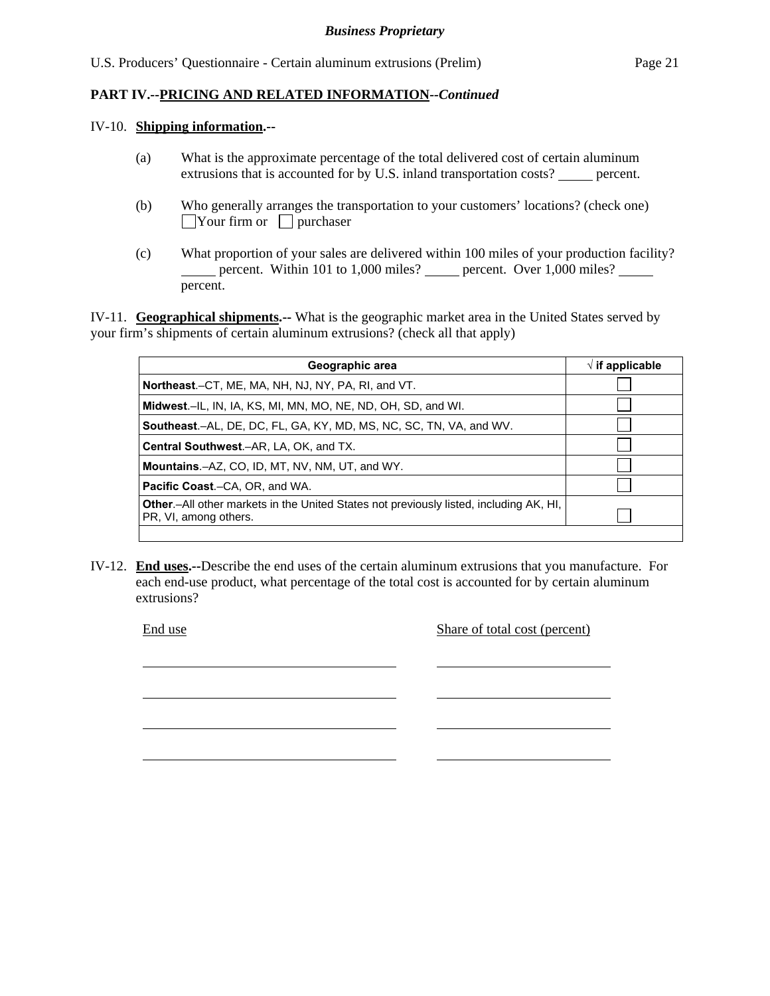#### IV-10. **Shipping information.--**

- (a) What is the approximate percentage of the total delivered cost of certain aluminum extrusions that is accounted for by U.S. inland transportation costs? percent.
- (b) Who generally arranges the transportation to your customers' locations? (check one)  $\Box$ Your firm or  $\Box$  purchaser
- (c) What proportion of your sales are delivered within 100 miles of your production facility? percent. Within 101 to 1,000 miles? percent. Over 1,000 miles? percent.

IV-11. **Geographical shipments.--** What is the geographic market area in the United States served by your firm's shipments of certain aluminum extrusions? (check all that apply)

| Geographic area                                                                                                         | $\sqrt{}$ if applicable |
|-------------------------------------------------------------------------------------------------------------------------|-------------------------|
| <b>Northeast.</b> –CT, ME, MA, NH, NJ, NY, PA, RI, and VT.                                                              |                         |
| Midwest.–IL, IN, IA, KS, MI, MN, MO, NE, ND, OH, SD, and WI.                                                            |                         |
| <b>Southeast.–AL, DE, DC, FL, GA, KY, MD, MS, NC, SC, TN, VA, and WV.</b>                                               |                         |
| <b>Central Southwest.–AR, LA, OK, and TX.</b>                                                                           |                         |
| Mountains.-AZ, CO, ID, MT, NV, NM, UT, and WY.                                                                          |                         |
| <b>Pacific Coast.–CA, OR, and WA.</b>                                                                                   |                         |
| <b>Other</b> - All other markets in the United States not previously listed, including AK, HI,<br>PR, VI, among others. |                         |
|                                                                                                                         |                         |

IV-12. **End uses.--**Describe the end uses of the certain aluminum extrusions that you manufacture. For each end-use product, what percentage of the total cost is accounted for by certain aluminum extrusions?

l

l

l

l

End use Share of total cost (percent)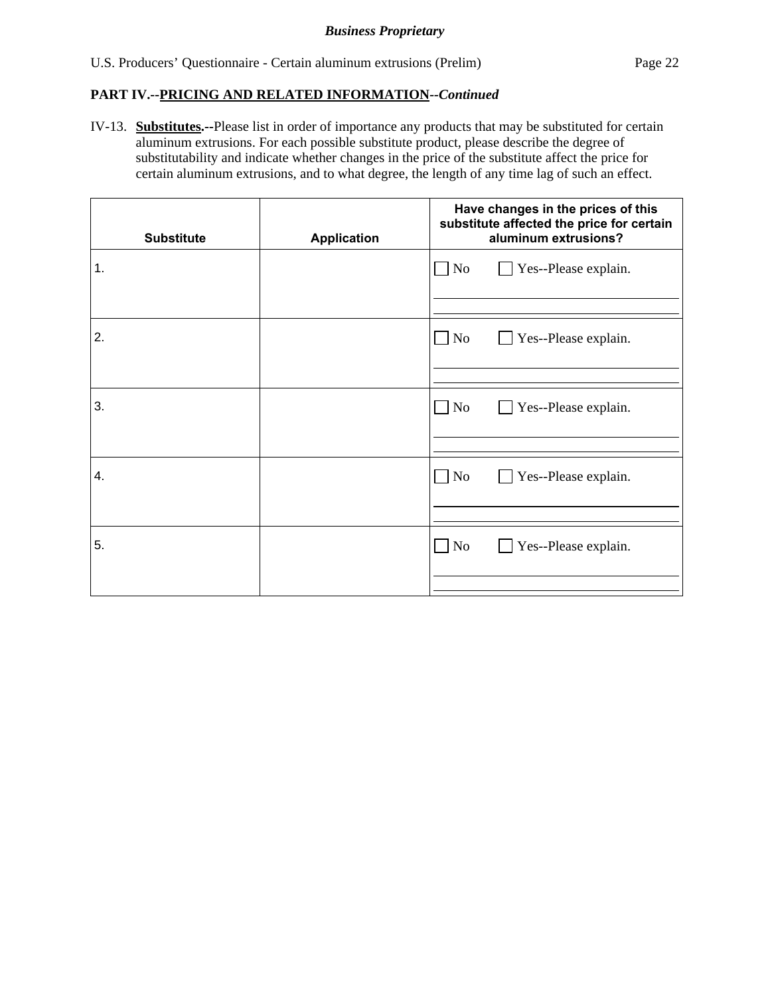IV-13. **Substitutes.--**Please list in order of importance any products that may be substituted for certain aluminum extrusions. For each possible substitute product, please describe the degree of substitutability and indicate whether changes in the price of the substitute affect the price for certain aluminum extrusions, and to what degree, the length of any time lag of such an effect.

| <b>Substitute</b> | <b>Application</b> | Have changes in the prices of this<br>substitute affected the price for certain<br>aluminum extrusions? |  |
|-------------------|--------------------|---------------------------------------------------------------------------------------------------------|--|
| 1.                |                    | $\Box$ No<br>Yes--Please explain.                                                                       |  |
|                   |                    |                                                                                                         |  |
| 2.                |                    | $\Box$ No<br>Yes--Please explain.                                                                       |  |
|                   |                    |                                                                                                         |  |
| 3.                |                    | $\Box$ No<br>Yes--Please explain.                                                                       |  |
|                   |                    |                                                                                                         |  |
| 4.                |                    | $\Box$ No<br>Yes--Please explain.                                                                       |  |
|                   |                    |                                                                                                         |  |
| 5.                |                    | $\Box$ No<br>Yes--Please explain.                                                                       |  |
|                   |                    |                                                                                                         |  |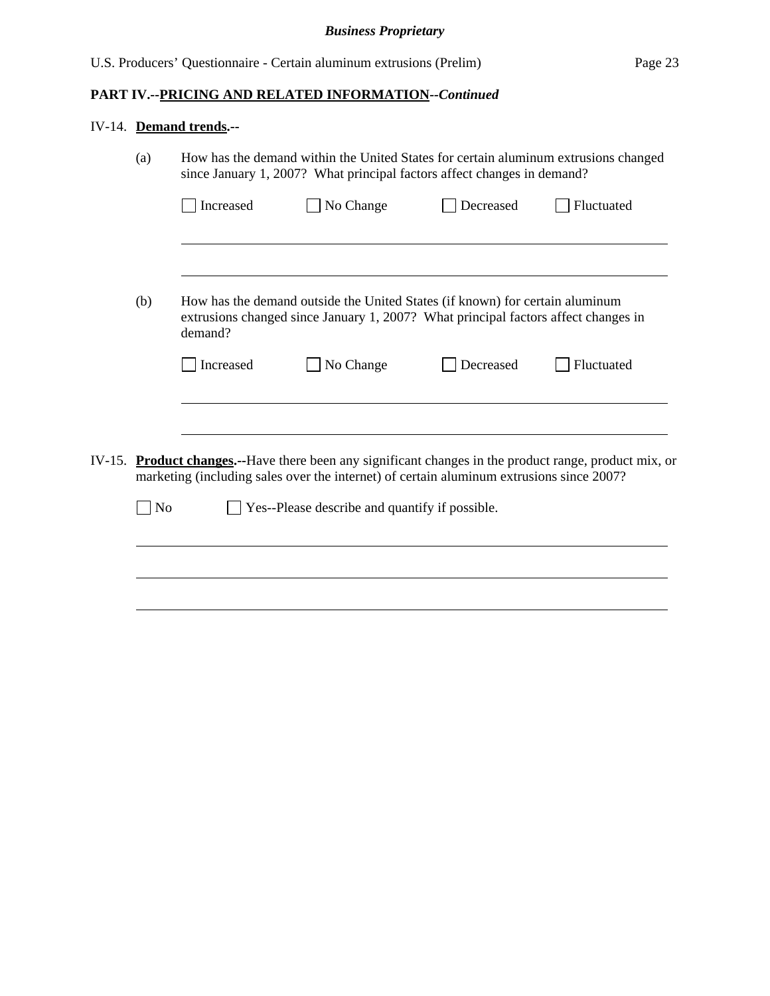## IV-14. **Demand trends.--**

| How has the demand within the United States for certain aluminum extrusions changed<br>(a)<br>since January 1, 2007? What principal factors affect changes in demand? |     |           |                                                                                                                                                                                                     |           |            |
|-----------------------------------------------------------------------------------------------------------------------------------------------------------------------|-----|-----------|-----------------------------------------------------------------------------------------------------------------------------------------------------------------------------------------------------|-----------|------------|
|                                                                                                                                                                       |     | Increased | No Change                                                                                                                                                                                           | Decreased | Fluctuated |
|                                                                                                                                                                       |     |           |                                                                                                                                                                                                     |           |            |
|                                                                                                                                                                       | (b) | demand?   | How has the demand outside the United States (if known) for certain aluminum<br>extrusions changed since January 1, 2007? What principal factors affect changes in                                  |           |            |
|                                                                                                                                                                       |     | Increased | No Change                                                                                                                                                                                           | Decreased | Fluctuated |
|                                                                                                                                                                       |     |           |                                                                                                                                                                                                     |           |            |
| IV-15.                                                                                                                                                                |     |           | <b>Product changes.</b> --Have there been any significant changes in the product range, product mix, or<br>marketing (including sales over the internet) of certain aluminum extrusions since 2007? |           |            |
|                                                                                                                                                                       | No  |           | Yes--Please describe and quantify if possible.                                                                                                                                                      |           |            |
|                                                                                                                                                                       |     |           |                                                                                                                                                                                                     |           |            |
|                                                                                                                                                                       |     |           |                                                                                                                                                                                                     |           |            |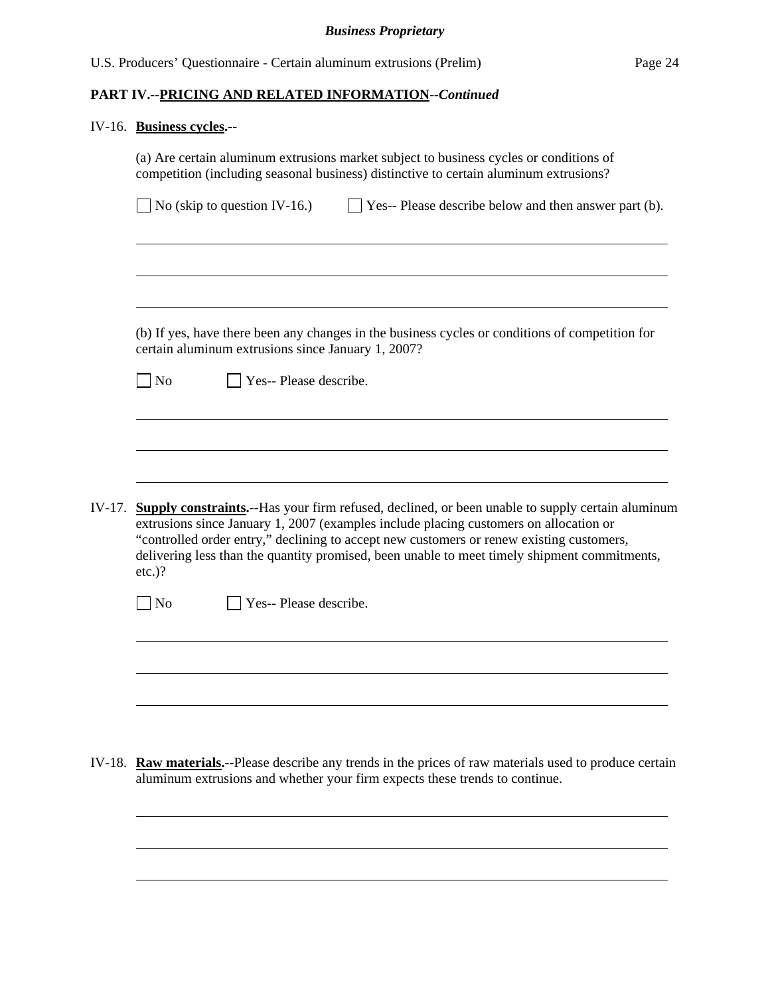#### IV-16. **Business cycles.--**

l

|                     |                                                    | (a) Are certain aluminum extrusions market subject to business cycles or conditions of<br>competition (including seasonal business) distinctive to certain aluminum extrusions?                                                                                                                                                                                                              |
|---------------------|----------------------------------------------------|----------------------------------------------------------------------------------------------------------------------------------------------------------------------------------------------------------------------------------------------------------------------------------------------------------------------------------------------------------------------------------------------|
|                     | No (skip to question IV-16.)                       | Yes-- Please describe below and then answer part (b).                                                                                                                                                                                                                                                                                                                                        |
|                     |                                                    |                                                                                                                                                                                                                                                                                                                                                                                              |
|                     |                                                    |                                                                                                                                                                                                                                                                                                                                                                                              |
|                     | certain aluminum extrusions since January 1, 2007? | (b) If yes, have there been any changes in the business cycles or conditions of competition for                                                                                                                                                                                                                                                                                              |
| $\exists$ No        | Yes-- Please describe.                             |                                                                                                                                                                                                                                                                                                                                                                                              |
|                     |                                                    |                                                                                                                                                                                                                                                                                                                                                                                              |
|                     |                                                    |                                                                                                                                                                                                                                                                                                                                                                                              |
|                     |                                                    |                                                                                                                                                                                                                                                                                                                                                                                              |
| IV-17.<br>$etc.$ )? |                                                    | <b>Supply constraints.</b> --Has your firm refused, declined, or been unable to supply certain aluminum<br>extrusions since January 1, 2007 (examples include placing customers on allocation or<br>"controlled order entry," declining to accept new customers or renew existing customers,<br>delivering less than the quantity promised, been unable to meet timely shipment commitments, |
| No                  | Yes-- Please describe.                             |                                                                                                                                                                                                                                                                                                                                                                                              |
|                     |                                                    |                                                                                                                                                                                                                                                                                                                                                                                              |
|                     |                                                    |                                                                                                                                                                                                                                                                                                                                                                                              |
|                     |                                                    |                                                                                                                                                                                                                                                                                                                                                                                              |

IV-18. **Raw materials.--**Please describe any trends in the prices of raw materials used to produce certain aluminum extrusions and whether your firm expects these trends to continue.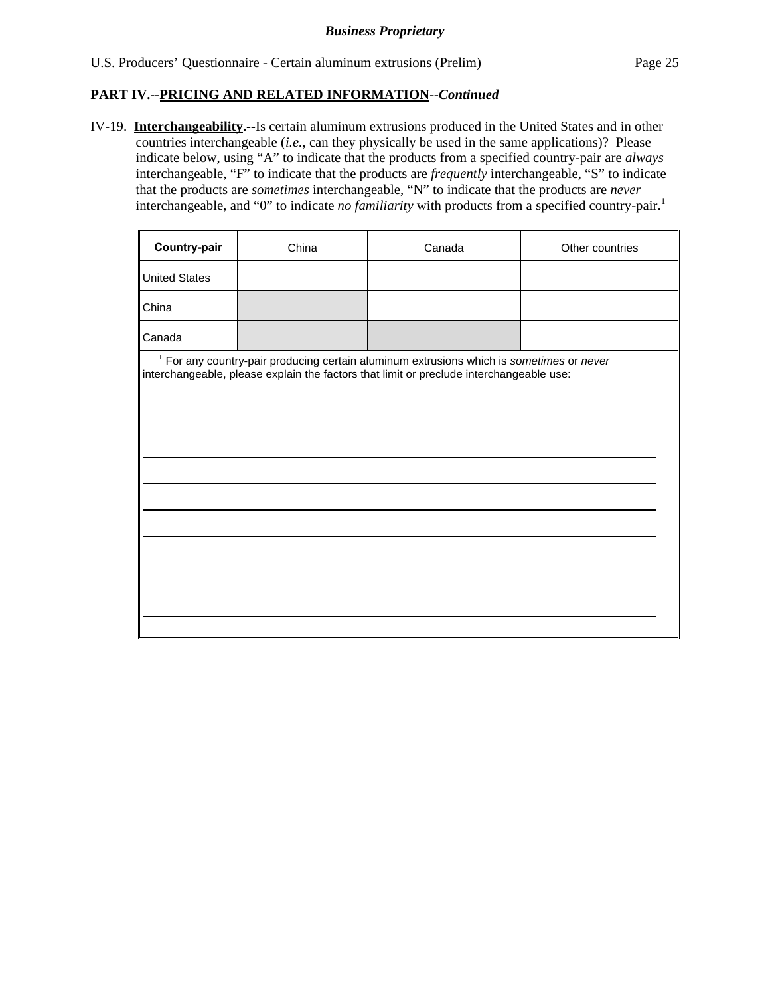IV-19. **Interchangeability.--**Is certain aluminum extrusions produced in the United States and in other countries interchangeable (*i.e.*, can they physically be used in the same applications)? Please indicate below, using "A" to indicate that the products from a specified country-pair are *always* interchangeable, "F" to indicate that the products are *frequently* interchangeable, "S" to indicate that the products are *sometimes* interchangeable, "N" to indicate that the products are *never* interchangeable, and "0" to indicate *no familiarity* with products from a specified country-pair.<sup>1</sup>

| Country-pair                                                                                                                                                                                   | China | Canada | Other countries |  |  |
|------------------------------------------------------------------------------------------------------------------------------------------------------------------------------------------------|-------|--------|-----------------|--|--|
| <b>United States</b>                                                                                                                                                                           |       |        |                 |  |  |
| China                                                                                                                                                                                          |       |        |                 |  |  |
| Canada                                                                                                                                                                                         |       |        |                 |  |  |
| <sup>1</sup> For any country-pair producing certain aluminum extrusions which is sometimes or never<br>interchangeable, please explain the factors that limit or preclude interchangeable use: |       |        |                 |  |  |
|                                                                                                                                                                                                |       |        |                 |  |  |
|                                                                                                                                                                                                |       |        |                 |  |  |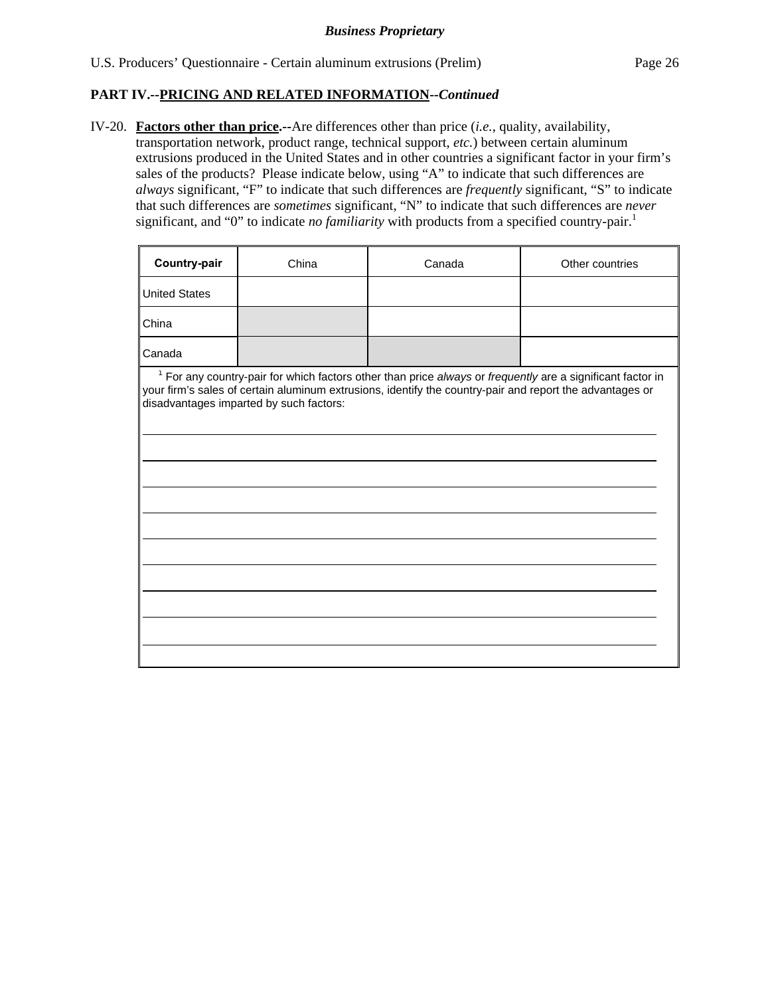IV-20. **Factors other than price.--**Are differences other than price (*i.e.*, quality, availability, transportation network, product range, technical support, *etc.*) between certain aluminum extrusions produced in the United States and in other countries a significant factor in your firm's sales of the products? Please indicate below, using "A" to indicate that such differences are *always* significant, "F" to indicate that such differences are *frequently* significant, "S" to indicate that such differences are *sometimes* significant, "N" to indicate that such differences are *never* significant, and "0" to indicate *no familiarity* with products from a specified country-pair.<sup>1</sup>

| Country-pair                                                                                                                                                                                                                                                        | China | Canada | Other countries |  |  |  |  |
|---------------------------------------------------------------------------------------------------------------------------------------------------------------------------------------------------------------------------------------------------------------------|-------|--------|-----------------|--|--|--|--|
| <b>United States</b>                                                                                                                                                                                                                                                |       |        |                 |  |  |  |  |
| China                                                                                                                                                                                                                                                               |       |        |                 |  |  |  |  |
| Canada                                                                                                                                                                                                                                                              |       |        |                 |  |  |  |  |
| $1$ For any country-pair for which factors other than price always or frequently are a significant factor in<br>your firm's sales of certain aluminum extrusions, identify the country-pair and report the advantages or<br>disadvantages imparted by such factors: |       |        |                 |  |  |  |  |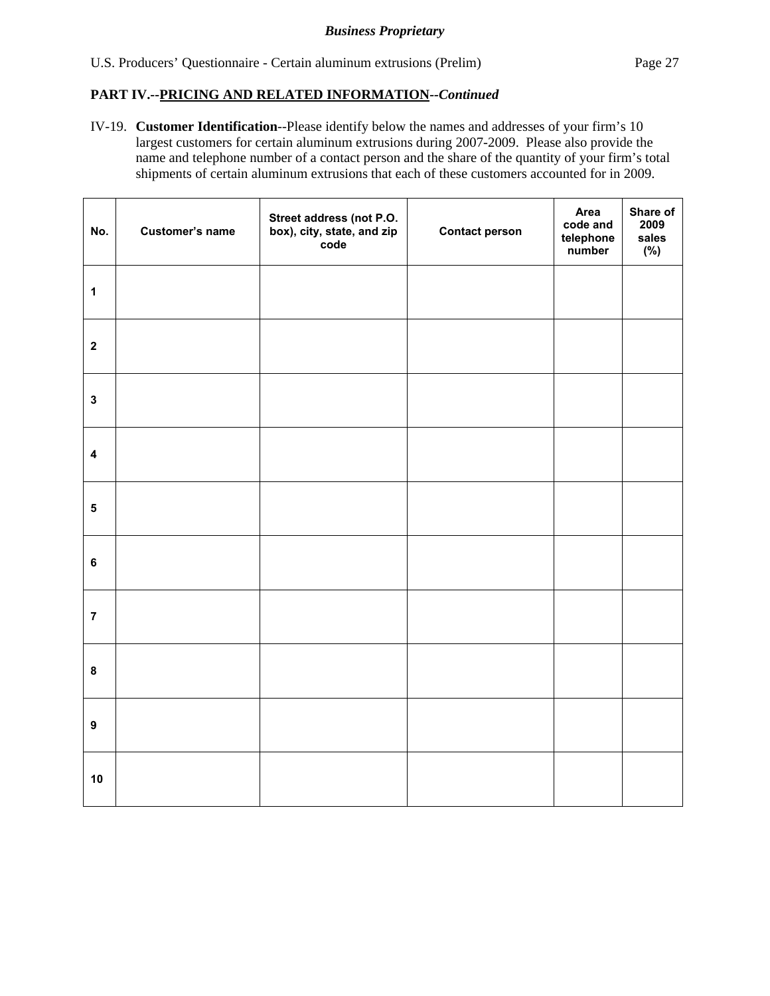IV-19. **Customer Identification**--Please identify below the names and addresses of your firm's 10 largest customers for certain aluminum extrusions during 2007-2009. Please also provide the name and telephone number of a contact person and the share of the quantity of your firm's total shipments of certain aluminum extrusions that each of these customers accounted for in 2009.

| No.                     | <b>Customer's name</b> | Street address (not P.O.<br>box), city, state, and zip<br>code | <b>Contact person</b> | Area<br>code and<br>telephone<br>number | Share of<br>2009<br>sales<br>(%) |
|-------------------------|------------------------|----------------------------------------------------------------|-----------------------|-----------------------------------------|----------------------------------|
| $\mathbf{1}$            |                        |                                                                |                       |                                         |                                  |
| $\mathbf{2}$            |                        |                                                                |                       |                                         |                                  |
| $\mathbf{3}$            |                        |                                                                |                       |                                         |                                  |
| $\overline{\mathbf{4}}$ |                        |                                                                |                       |                                         |                                  |
| $\overline{\mathbf{5}}$ |                        |                                                                |                       |                                         |                                  |
| $\bf 6$                 |                        |                                                                |                       |                                         |                                  |
| $\overline{7}$          |                        |                                                                |                       |                                         |                                  |
| $\bf 8$                 |                        |                                                                |                       |                                         |                                  |
| $\boldsymbol{9}$        |                        |                                                                |                       |                                         |                                  |
| 10                      |                        |                                                                |                       |                                         |                                  |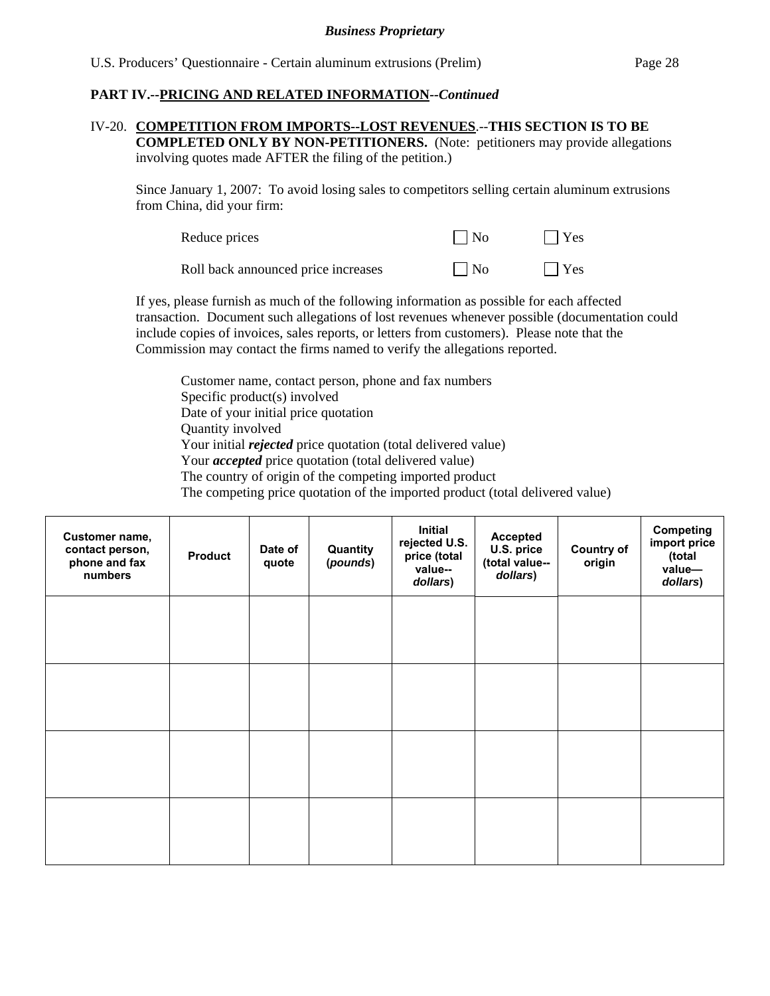# IV-20. **COMPETITION FROM IMPORTS--LOST REVENUES**.--**THIS SECTION IS TO BE**

**COMPLETED ONLY BY NON-PETITIONERS.** (Note: petitioners may provide allegations involving quotes made AFTER the filing of the petition.)

Since January 1, 2007: To avoid losing sales to competitors selling certain aluminum extrusions from China, did your firm:

| Reduce prices                       | $\overline{\phantom{a}}$ $\overline{\phantom{a}}$ | $ $ $ $ Yes |
|-------------------------------------|---------------------------------------------------|-------------|
| Roll back announced price increases | $\vert$ $\vert$ No                                | $ $ Yes     |

If yes, please furnish as much of the following information as possible for each affected transaction. Document such allegations of lost revenues whenever possible (documentation could include copies of invoices, sales reports, or letters from customers). Please note that the Commission may contact the firms named to verify the allegations reported.

Customer name, contact person, phone and fax numbers Specific product(s) involved Date of your initial price quotation Quantity involved Your initial *rejected* price quotation (total delivered value) Your *accepted* price quotation (total delivered value) The country of origin of the competing imported product The competing price quotation of the imported product (total delivered value)

| Customer name,<br>contact person,<br>phone and fax<br>numbers | <b>Product</b> | Date of<br>quote | Quantity<br>(pounds) | Initial<br>rejected U.S.<br>price (total<br>value--<br>dollars) | <b>Accepted</b><br>U.S. price<br>(total value--<br>dollars) | <b>Country of</b><br>origin | <b>Competing</b><br>import price<br>(total<br>value-<br>dollars) |
|---------------------------------------------------------------|----------------|------------------|----------------------|-----------------------------------------------------------------|-------------------------------------------------------------|-----------------------------|------------------------------------------------------------------|
|                                                               |                |                  |                      |                                                                 |                                                             |                             |                                                                  |
|                                                               |                |                  |                      |                                                                 |                                                             |                             |                                                                  |
|                                                               |                |                  |                      |                                                                 |                                                             |                             |                                                                  |
|                                                               |                |                  |                      |                                                                 |                                                             |                             |                                                                  |